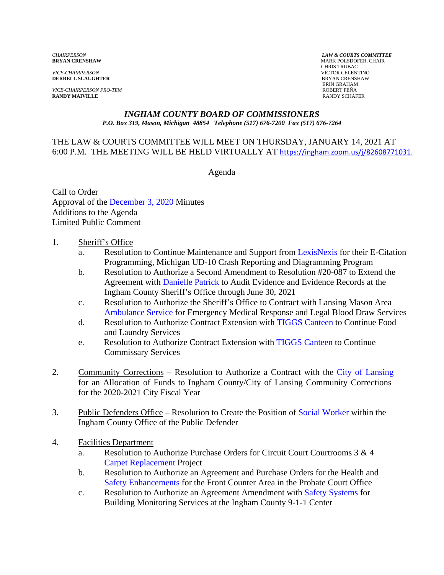*VICE-CHAIRPERSON* VICTOR CELENTINO **DERRELL SLAUGHTER** 

*VICE-CHAIRPERSON PRO-TEM* ROBERT PEÑA **RANDY MAIVILLE** 

*CHAIRPERSON LAW & COURTS COMMITTEE* **MARK POLSDOFER, CHAIR**  CHRIS TRUBAC ERIN GRAHAM

#### *INGHAM COUNTY BOARD OF COMMISSIONERS P.O. Box 319, Mason, Michigan 48854 Telephone (517) 676-7200 Fax (517) 676-7264*

#### THE LAW & COURTS COMMITTEE WILL MEET ON THURSDAY, JANUARY 14, 2021 AT 6:00 P.M. THE MEETING WILL BE HELD VIRTUALLY AT [https://ingham.zoom.us/j/82608771031.](https://ingham.zoom.us/j/82608771031)

Agenda

Call to Order Approval of the December [3, 2020 Minutes](#page-2-0)  Additions to the Agenda Limited Public Comment

#### 1. Sheriff's Office

- a. Resolution to Continue Maintenance and Support from LexisNexis for their E-Citation Programming, Michigan UD-10 Crash Reportin[g and Diagramming Program](#page-13-0)
- b. Resolution to Authorize a Second Amendment to Resolution #20-087 to Extend the Agreement [with Danielle Patrick to Audit](#page-15-0) Evidence and Evidence Records at the Ingham County Sheriff's Office through June 30, 2021
- c. Resolution to Authorize the Sheriff's Office to Contract with Lansing Mason Area [Ambulance Service for Emerg](#page-17-0)ency Medical Response and Legal Blood Draw Services
- d. Resolution to Authorize Contract Extension with TIGGS [Canteen to Continue F](#page-23-0)ood and Laundry Services
- e. Resolution to Authorize Contract Extension with [TIGGS Canteen to Continu](#page-24-0)e Commissary Services
- 2. Community Corrections Resolution to Authorize a Contract [with the City of Lansing](#page-25-0) for an Allocation of Funds to Ingham County/City of Lansing Community Corrections for the 2020-2021 City Fiscal Year
- 3. Public Defenders Office Resolution to Create the Position of [Social Worker within t](#page-27-0)he Ingham County Office of the Public Defender
- 4. Facilities Department
	- a. Resolution to Authorize Purchase Orders for Circuit Court Courtrooms  $3 \& 4$ [Carpet Replacement Project](#page-35-0)
	- b. Resolution to Authorize an Agreement and Purchase Orders for the Health and [Safety Enhancements for the F](#page-37-0)ront Counter Area in the Probate Court Office
	- c. Resolution to Authorize an Agreement Amendment [with Safety Systems for](#page-43-0) Building Monitoring Services at the Ingham County 9-1-1 Center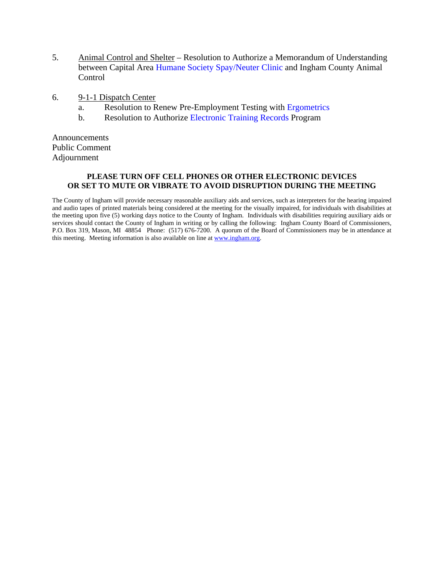- 5. Animal Control and Shelter Resolution to Authorize a Memorandum of Understanding between Capital Area Humane Society [Spay/Neuter Clinic and Ingham](#page-45-0) County Animal Control
- 6. 9-1-1 Dispatch Center
	- a. Resolution to Renew Pre-Employment Testi[ng with Ergometrics](#page-50-0)
	- b. Resolution to Authoriz[e Electronic Training Records Program](#page-52-0)

Announcements Public Comment Adjournment

#### **PLEASE TURN OFF CELL PHONES OR OTHER ELECTRONIC DEVICES OR SET TO MUTE OR VIBRATE TO AVOID DISRUPTION DURING THE MEETING**

The County of Ingham will provide necessary reasonable auxiliary aids and services, such as interpreters for the hearing impaired and audio tapes of printed materials being considered at the meeting for the visually impaired, for individuals with disabilities at the meeting upon five (5) working days notice to the County of Ingham. Individuals with disabilities requiring auxiliary aids or services should contact the County of Ingham in writing or by calling the following: Ingham County Board of Commissioners, P.O. Box 319, Mason, MI 48854 Phone: (517) 676-7200. A quorum of the Board of Commissioners may be in attendance at this meeting. Meeting information is also available on line at www.ingham.org.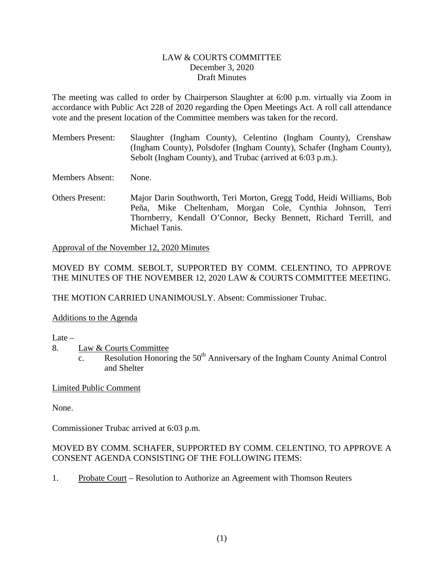#### LAW & COURTS COMMITTEE December 3, 2020 Draft Minutes

<span id="page-2-0"></span>The meeting was called to order by Chairperson Slaughter at 6:00 p.m. virtually via Zoom in accordance with Public Act 228 of 2020 regarding the Open Meetings Act. A roll call attendance vote and the present location of the Committee members was taken for the record.

Members Present: Slaughter (Ingham County), Celentino (Ingham County), Crenshaw (Ingham County), Polsdofer (Ingham County), Schafer (Ingham County), Sebolt (Ingham County), and Trubac (arrived at 6:03 p.m.).

Members Absent: None.

Others Present: Major Darin Southworth, Teri Morton, Gregg Todd, Heidi Williams, Bob Peña, Mike Cheltenham, Morgan Cole, Cynthia Johnson, Terri Thornberry, Kendall O'Connor, Becky Bennett, Richard Terrill, and Michael Tanis.

Approval of the November 12, 2020 Minutes

### MOVED BY COMM. SEBOLT, SUPPORTED BY COMM. CELENTINO, TO APPROVE THE MINUTES OF THE NOVEMBER 12, 2020 LAW & COURTS COMMITTEE MEETING.

THE MOTION CARRIED UNANIMOUSLY. Absent: Commissioner Trubac.

#### Additions to the Agenda

Late  $-$ 

- 8. Law & Courts Committee
	- $\overline{\text{c}}$ . Resolution Honoring the 50<sup>th</sup> Anniversary of the Ingham County Animal Control and Shelter

### Limited Public Comment

None.

Commissioner Trubac arrived at 6:03 p.m.

### MOVED BY COMM. SCHAFER, SUPPORTED BY COMM. CELENTINO, TO APPROVE A CONSENT AGENDA CONSISTING OF THE FOLLOWING ITEMS:

1. Probate Court – Resolution to Authorize an Agreement with Thomson Reuters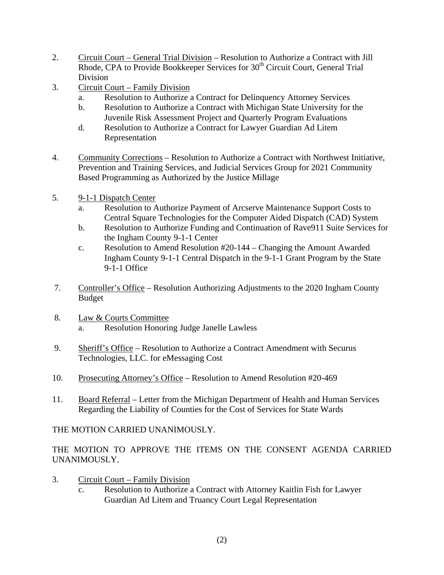- 2. Circuit Court General Trial Division Resolution to Authorize a Contract with Jill Rhode, CPA to Provide Bookkeeper Services for 30<sup>th</sup> Circuit Court, General Trial Division
- 3. Circuit Court Family Division
	- a. Resolution to Authorize a Contract for Delinquency Attorney Services
	- b. Resolution to Authorize a Contract with Michigan State University for the Juvenile Risk Assessment Project and Quarterly Program Evaluations
	- d. Resolution to Authorize a Contract for Lawyer Guardian Ad Litem Representation
- 4. Community Corrections Resolution to Authorize a Contract with Northwest Initiative, Prevention and Training Services, and Judicial Services Group for 2021 Community Based Programming as Authorized by the Justice Millage
- 5. 9-1-1 Dispatch Center
	- a. Resolution to Authorize Payment of Arcserve Maintenance Support Costs to Central Square Technologies for the Computer Aided Dispatch (CAD) System
	- b. Resolution to Authorize Funding and Continuation of Rave911 Suite Services for the Ingham County 9-1-1 Center
	- c. Resolution to Amend Resolution #20-144 Changing the Amount Awarded Ingham County 9-1-1 Central Dispatch in the 9-1-1 Grant Program by the State 9-1-1 Office
- 7. Controller's Office Resolution Authorizing Adjustments to the 2020 Ingham County Budget
- 8. Law & Courts Committee Resolution Honoring Judge Janelle Lawless
- 9. Sheriff's Office Resolution to Authorize a Contract Amendment with Securus Technologies, LLC. for eMessaging Cost
- 10. Prosecuting Attorney's Office Resolution to Amend Resolution #20-469
- 11. Board Referral Letter from the Michigan Department of Health and Human Services Regarding the Liability of Counties for the Cost of Services for State Wards

THE MOTION CARRIED UNANIMOUSLY.

THE MOTION TO APPROVE THE ITEMS ON THE CONSENT AGENDA CARRIED UNANIMOUSLY.

- 3. Circuit Court Family Division
	- c. Resolution to Authorize a Contract with Attorney Kaitlin Fish for Lawyer Guardian Ad Litem and Truancy Court Legal Representation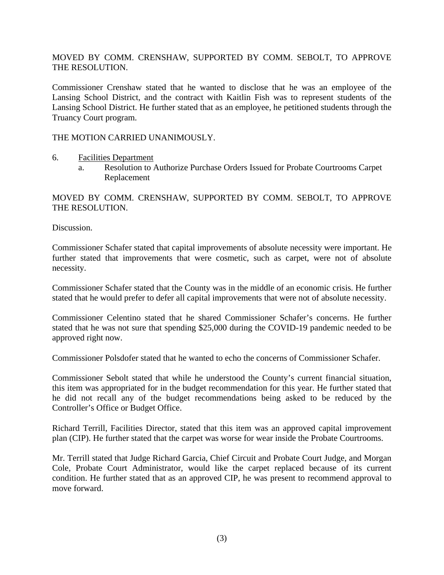### MOVED BY COMM. CRENSHAW, SUPPORTED BY COMM. SEBOLT, TO APPROVE THE RESOLUTION.

Commissioner Crenshaw stated that he wanted to disclose that he was an employee of the Lansing School District, and the contract with Kaitlin Fish was to represent students of the Lansing School District. He further stated that as an employee, he petitioned students through the Truancy Court program.

#### THE MOTION CARRIED UNANIMOUSLY.

- 6. Facilities Department
	- a. Resolution to Authorize Purchase Orders Issued for Probate Courtrooms Carpet Replacement

MOVED BY COMM. CRENSHAW, SUPPORTED BY COMM. SEBOLT, TO APPROVE THE RESOLUTION.

Discussion.

Commissioner Schafer stated that capital improvements of absolute necessity were important. He further stated that improvements that were cosmetic, such as carpet, were not of absolute necessity.

Commissioner Schafer stated that the County was in the middle of an economic crisis. He further stated that he would prefer to defer all capital improvements that were not of absolute necessity.

Commissioner Celentino stated that he shared Commissioner Schafer's concerns. He further stated that he was not sure that spending \$25,000 during the COVID-19 pandemic needed to be approved right now.

Commissioner Polsdofer stated that he wanted to echo the concerns of Commissioner Schafer.

Commissioner Sebolt stated that while he understood the County's current financial situation, this item was appropriated for in the budget recommendation for this year. He further stated that he did not recall any of the budget recommendations being asked to be reduced by the Controller's Office or Budget Office.

Richard Terrill, Facilities Director, stated that this item was an approved capital improvement plan (CIP). He further stated that the carpet was worse for wear inside the Probate Courtrooms.

Mr. Terrill stated that Judge Richard Garcia, Chief Circuit and Probate Court Judge, and Morgan Cole, Probate Court Administrator, would like the carpet replaced because of its current condition. He further stated that as an approved CIP, he was present to recommend approval to move forward.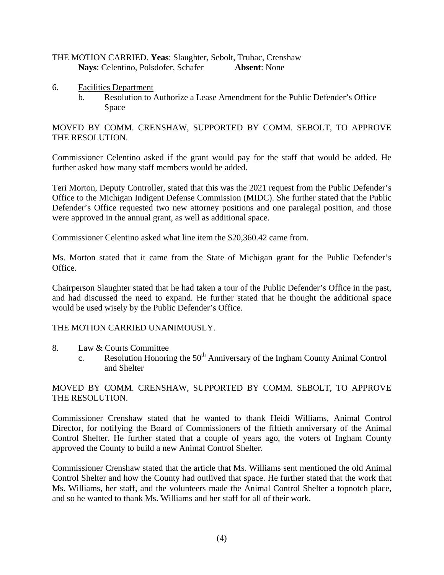#### THE MOTION CARRIED. **Yeas**: Slaughter, Sebolt, Trubac, Crenshaw **Nays**: Celentino, Polsdofer, Schafer **Absent**: None

- 6. Facilities Department
	- b. Resolution to Authorize a Lease Amendment for the Public Defender's Office Space

### MOVED BY COMM. CRENSHAW, SUPPORTED BY COMM. SEBOLT, TO APPROVE THE RESOLUTION.

Commissioner Celentino asked if the grant would pay for the staff that would be added. He further asked how many staff members would be added.

Teri Morton, Deputy Controller, stated that this was the 2021 request from the Public Defender's Office to the Michigan Indigent Defense Commission (MIDC). She further stated that the Public Defender's Office requested two new attorney positions and one paralegal position, and those were approved in the annual grant, as well as additional space.

Commissioner Celentino asked what line item the \$20,360.42 came from.

Ms. Morton stated that it came from the State of Michigan grant for the Public Defender's Office.

Chairperson Slaughter stated that he had taken a tour of the Public Defender's Office in the past, and had discussed the need to expand. He further stated that he thought the additional space would be used wisely by the Public Defender's Office.

#### THE MOTION CARRIED UNANIMOUSLY.

- 8. Law & Courts Committee
	- $\overline{\text{c.}}$  Resolution Honoring the 50<sup>th</sup> Anniversary of the Ingham County Animal Control and Shelter

#### MOVED BY COMM. CRENSHAW, SUPPORTED BY COMM. SEBOLT, TO APPROVE THE RESOLUTION.

Commissioner Crenshaw stated that he wanted to thank Heidi Williams, Animal Control Director, for notifying the Board of Commissioners of the fiftieth anniversary of the Animal Control Shelter. He further stated that a couple of years ago, the voters of Ingham County approved the County to build a new Animal Control Shelter.

Commissioner Crenshaw stated that the article that Ms. Williams sent mentioned the old Animal Control Shelter and how the County had outlived that space. He further stated that the work that Ms. Williams, her staff, and the volunteers made the Animal Control Shelter a topnotch place, and so he wanted to thank Ms. Williams and her staff for all of their work.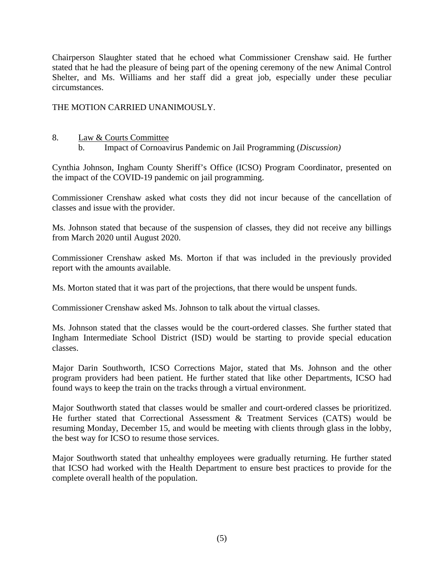Chairperson Slaughter stated that he echoed what Commissioner Crenshaw said. He further stated that he had the pleasure of being part of the opening ceremony of the new Animal Control Shelter, and Ms. Williams and her staff did a great job, especially under these peculiar circumstances.

THE MOTION CARRIED UNANIMOUSLY.

# 8. Law & Courts Committee

b. Impact of Cornoavirus Pandemic on Jail Programming (*Discussion)*

Cynthia Johnson, Ingham County Sheriff's Office (ICSO) Program Coordinator, presented on the impact of the COVID-19 pandemic on jail programming.

Commissioner Crenshaw asked what costs they did not incur because of the cancellation of classes and issue with the provider.

Ms. Johnson stated that because of the suspension of classes, they did not receive any billings from March 2020 until August 2020.

Commissioner Crenshaw asked Ms. Morton if that was included in the previously provided report with the amounts available.

Ms. Morton stated that it was part of the projections, that there would be unspent funds.

Commissioner Crenshaw asked Ms. Johnson to talk about the virtual classes.

Ms. Johnson stated that the classes would be the court-ordered classes. She further stated that Ingham Intermediate School District (ISD) would be starting to provide special education classes.

Major Darin Southworth, ICSO Corrections Major, stated that Ms. Johnson and the other program providers had been patient. He further stated that like other Departments, ICSO had found ways to keep the train on the tracks through a virtual environment.

Major Southworth stated that classes would be smaller and court-ordered classes be prioritized. He further stated that Correctional Assessment & Treatment Services (CATS) would be resuming Monday, December 15, and would be meeting with clients through glass in the lobby, the best way for ICSO to resume those services.

Major Southworth stated that unhealthy employees were gradually returning. He further stated that ICSO had worked with the Health Department to ensure best practices to provide for the complete overall health of the population.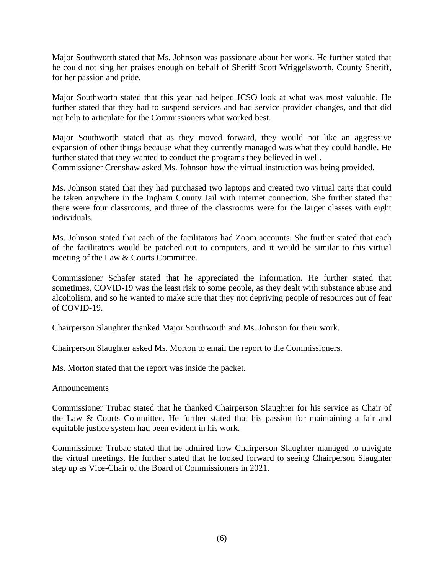Major Southworth stated that Ms. Johnson was passionate about her work. He further stated that he could not sing her praises enough on behalf of Sheriff Scott Wriggelsworth, County Sheriff, for her passion and pride.

Major Southworth stated that this year had helped ICSO look at what was most valuable. He further stated that they had to suspend services and had service provider changes, and that did not help to articulate for the Commissioners what worked best.

Major Southworth stated that as they moved forward, they would not like an aggressive expansion of other things because what they currently managed was what they could handle. He further stated that they wanted to conduct the programs they believed in well. Commissioner Crenshaw asked Ms. Johnson how the virtual instruction was being provided.

Ms. Johnson stated that they had purchased two laptops and created two virtual carts that could be taken anywhere in the Ingham County Jail with internet connection. She further stated that there were four classrooms, and three of the classrooms were for the larger classes with eight individuals.

Ms. Johnson stated that each of the facilitators had Zoom accounts. She further stated that each of the facilitators would be patched out to computers, and it would be similar to this virtual meeting of the Law & Courts Committee.

Commissioner Schafer stated that he appreciated the information. He further stated that sometimes, COVID-19 was the least risk to some people, as they dealt with substance abuse and alcoholism, and so he wanted to make sure that they not depriving people of resources out of fear of COVID-19.

Chairperson Slaughter thanked Major Southworth and Ms. Johnson for their work.

Chairperson Slaughter asked Ms. Morton to email the report to the Commissioners.

Ms. Morton stated that the report was inside the packet.

#### Announcements

Commissioner Trubac stated that he thanked Chairperson Slaughter for his service as Chair of the Law & Courts Committee. He further stated that his passion for maintaining a fair and equitable justice system had been evident in his work.

Commissioner Trubac stated that he admired how Chairperson Slaughter managed to navigate the virtual meetings. He further stated that he looked forward to seeing Chairperson Slaughter step up as Vice-Chair of the Board of Commissioners in 2021.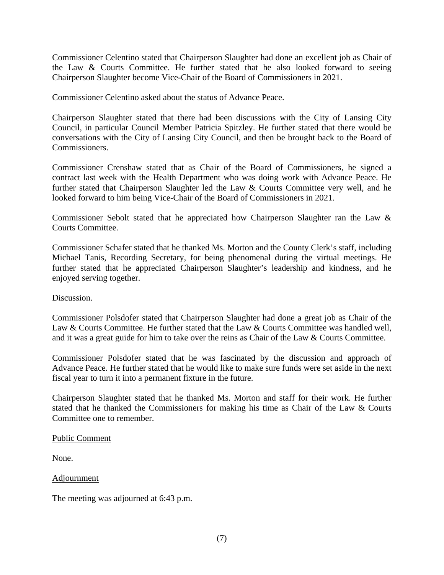Commissioner Celentino stated that Chairperson Slaughter had done an excellent job as Chair of the Law & Courts Committee. He further stated that he also looked forward to seeing Chairperson Slaughter become Vice-Chair of the Board of Commissioners in 2021.

Commissioner Celentino asked about the status of Advance Peace.

Chairperson Slaughter stated that there had been discussions with the City of Lansing City Council, in particular Council Member Patricia Spitzley. He further stated that there would be conversations with the City of Lansing City Council, and then be brought back to the Board of Commissioners.

Commissioner Crenshaw stated that as Chair of the Board of Commissioners, he signed a contract last week with the Health Department who was doing work with Advance Peace. He further stated that Chairperson Slaughter led the Law & Courts Committee very well, and he looked forward to him being Vice-Chair of the Board of Commissioners in 2021.

Commissioner Sebolt stated that he appreciated how Chairperson Slaughter ran the Law & Courts Committee.

Commissioner Schafer stated that he thanked Ms. Morton and the County Clerk's staff, including Michael Tanis, Recording Secretary, for being phenomenal during the virtual meetings. He further stated that he appreciated Chairperson Slaughter's leadership and kindness, and he enjoyed serving together.

Discussion.

Commissioner Polsdofer stated that Chairperson Slaughter had done a great job as Chair of the Law & Courts Committee. He further stated that the Law & Courts Committee was handled well, and it was a great guide for him to take over the reins as Chair of the Law & Courts Committee.

Commissioner Polsdofer stated that he was fascinated by the discussion and approach of Advance Peace. He further stated that he would like to make sure funds were set aside in the next fiscal year to turn it into a permanent fixture in the future.

Chairperson Slaughter stated that he thanked Ms. Morton and staff for their work. He further stated that he thanked the Commissioners for making his time as Chair of the Law & Courts Committee one to remember.

Public Comment

None.

Adjournment

The meeting was adjourned at 6:43 p.m.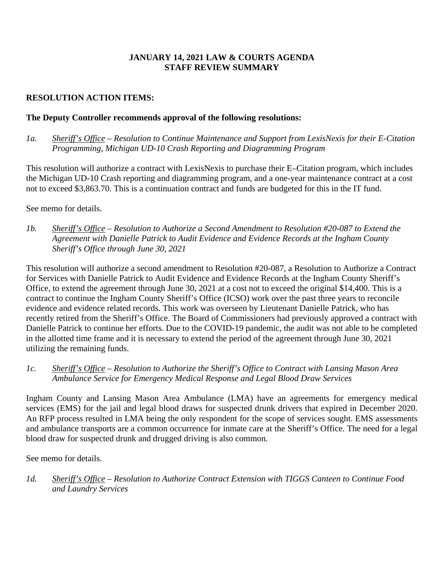### **JANUARY 14, 2021 LAW & COURTS AGENDA STAFF REVIEW SUMMARY**

### **RESOLUTION ACTION ITEMS:**

### **The Deputy Controller recommends approval of the following resolutions:**

*1a. Sheriff's Office – Resolution to Continue Maintenance and Support from LexisNexis for their E-Citation Programming, Michigan UD-10 Crash Reporting and Diagramming Program* 

This resolution will authorize a contract with LexisNexis to purchase their E–Citation program, which includes the Michigan UD-10 Crash reporting and diagramming program, and a one-year maintenance contract at a cost not to exceed \$3,863.70. This is a continuation contract and funds are budgeted for this in the IT fund.

See memo for details.

*1b. Sheriff's Office – Resolution to Authorize a Second Amendment to Resolution #20-087 to Extend the Agreement with Danielle Patrick to Audit Evidence and Evidence Records at the Ingham County Sheriff's Office through June 30, 2021* 

This resolution will authorize a second amendment to Resolution #20-087, a Resolution to Authorize a Contract for Services with Danielle Patrick to Audit Evidence and Evidence Records at the Ingham County Sheriff's Office, to extend the agreement through June 30, 2021 at a cost not to exceed the original \$14,400. This is a contract to continue the Ingham County Sheriff's Office (ICSO) work over the past three years to reconcile evidence and evidence related records. This work was overseen by Lieutenant Danielle Patrick, who has recently retired from the Sheriff's Office. The Board of Commissioners had previously approved a contract with Danielle Patrick to continue her efforts. Due to the COVID-19 pandemic, the audit was not able to be completed in the allotted time frame and it is necessary to extend the period of the agreement through June 30, 2021 utilizing the remaining funds.

#### *1c. Sheriff's Office – Resolution to Authorize the Sheriff's Office to Contract with Lansing Mason Area Ambulance Service for Emergency Medical Response and Legal Blood Draw Services*

Ingham County and Lansing Mason Area Ambulance (LMA) have an agreements for emergency medical services (EMS) for the jail and legal blood draws for suspected drunk drivers that expired in December 2020. An RFP process resulted in LMA being the only respondent for the scope of services sought. EMS assessments and ambulance transports are a common occurrence for inmate care at the Sheriff's Office. The need for a legal blood draw for suspected drunk and drugged driving is also common.

See memo for details.

*1d. Sheriff's Office – Resolution to Authorize Contract Extension with TIGGS Canteen to Continue Food and Laundry Services*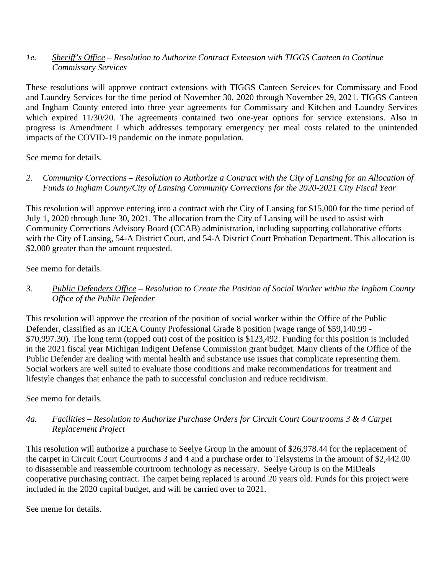### *1e. Sheriff's Office – Resolution to Authorize Contract Extension with TIGGS Canteen to Continue Commissary Services*

These resolutions will approve contract extensions with TIGGS Canteen Services for Commissary and Food and Laundry Services for the time period of November 30, 2020 through November 29, 2021. TIGGS Canteen and Ingham County entered into three year agreements for Commissary and Kitchen and Laundry Services which expired 11/30/20. The agreements contained two one-year options for service extensions. Also in progress is Amendment I which addresses temporary emergency per meal costs related to the unintended impacts of the COVID-19 pandemic on the inmate population.

See memo for details.

*2. Community Corrections – Resolution to Authorize a Contract with the City of Lansing for an Allocation of Funds to Ingham County/City of Lansing Community Corrections for the 2020-2021 City Fiscal Year*

This resolution will approve entering into a contract with the City of Lansing for \$15,000 for the time period of July 1, 2020 through June 30, 2021. The allocation from the City of Lansing will be used to assist with Community Corrections Advisory Board (CCAB) administration, including supporting collaborative efforts with the City of Lansing, 54-A District Court, and 54-A District Court Probation Department. This allocation is \$2,000 greater than the amount requested.

See memo for details.

*3. Public Defenders Office – Resolution to Create the Position of Social Worker within the Ingham County Office of the Public Defender*

This resolution will approve the creation of the position of social worker within the Office of the Public Defender, classified as an ICEA County Professional Grade 8 position (wage range of \$59,140.99 - \$70,997.30). The long term (topped out) cost of the position is \$123,492. Funding for this position is included in the 2021 fiscal year Michigan Indigent Defense Commission grant budget. Many clients of the Office of the Public Defender are dealing with mental health and substance use issues that complicate representing them. Social workers are well suited to evaluate those conditions and make recommendations for treatment and lifestyle changes that enhance the path to successful conclusion and reduce recidivism.

See memo for details.

*4a. Facilities – Resolution to Authorize Purchase Orders for Circuit Court Courtrooms 3 & 4 Carpet Replacement Project* 

This resolution will authorize a purchase to Seelye Group in the amount of \$26,978.44 for the replacement of the carpet in Circuit Court Courtrooms 3 and 4 and a purchase order to Telsystems in the amount of \$2,442.00 to disassemble and reassemble courtroom technology as necessary. Seelye Group is on the MiDeals cooperative purchasing contract. The carpet being replaced is around 20 years old. Funds for this project were included in the 2020 capital budget, and will be carried over to 2021.

See meme for details.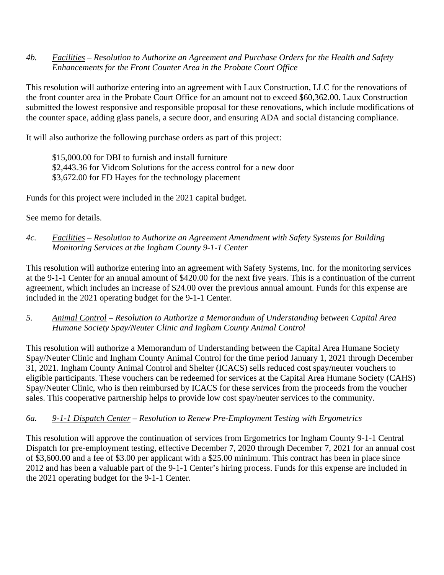*4b. Facilities – Resolution to Authorize an Agreement and Purchase Orders for the Health and Safety Enhancements for the Front Counter Area in the Probate Court Office* 

This resolution will authorize entering into an agreement with Laux Construction, LLC for the renovations of the front counter area in the Probate Court Office for an amount not to exceed \$60,362.00. Laux Construction submitted the lowest responsive and responsible proposal for these renovations, which include modifications of the counter space, adding glass panels, a secure door, and ensuring ADA and social distancing compliance.

It will also authorize the following purchase orders as part of this project:

\$15,000.00 for DBI to furnish and install furniture \$2,443.36 for Vidcom Solutions for the access control for a new door \$3,672.00 for FD Hayes for the technology placement

Funds for this project were included in the 2021 capital budget.

See memo for details.

*4c. Facilities – Resolution to Authorize an Agreement Amendment with Safety Systems for Building Monitoring Services at the Ingham County 9-1-1 Center*

This resolution will authorize entering into an agreement with Safety Systems, Inc. for the monitoring services at the 9-1-1 Center for an annual amount of \$420.00 for the next five years. This is a continuation of the current agreement, which includes an increase of \$24.00 over the previous annual amount. Funds for this expense are included in the 2021 operating budget for the 9-1-1 Center.

*5. Animal Control – Resolution to Authorize a Memorandum of Understanding between Capital Area Humane Society Spay/Neuter Clinic and Ingham County Animal Control* 

This resolution will authorize a Memorandum of Understanding between the Capital Area Humane Society Spay/Neuter Clinic and Ingham County Animal Control for the time period January 1, 2021 through December 31, 2021. Ingham County Animal Control and Shelter (ICACS) sells reduced cost spay/neuter vouchers to eligible participants. These vouchers can be redeemed for services at the Capital Area Humane Society (CAHS) Spay/Neuter Clinic, who is then reimbursed by ICACS for these services from the proceeds from the voucher sales. This cooperative partnership helps to provide low cost spay/neuter services to the community.

### *6a. 9-1-1 Dispatch Center – Resolution to Renew Pre-Employment Testing with Ergometrics*

This resolution will approve the continuation of services from Ergometrics for Ingham County 9-1-1 Central Dispatch for pre-employment testing, effective December 7, 2020 through December 7, 2021 for an annual cost of \$3,600.00 and a fee of \$3.00 per applicant with a \$25.00 minimum. This contract has been in place since 2012 and has been a valuable part of the 9-1-1 Center's hiring process. Funds for this expense are included in the 2021 operating budget for the 9-1-1 Center.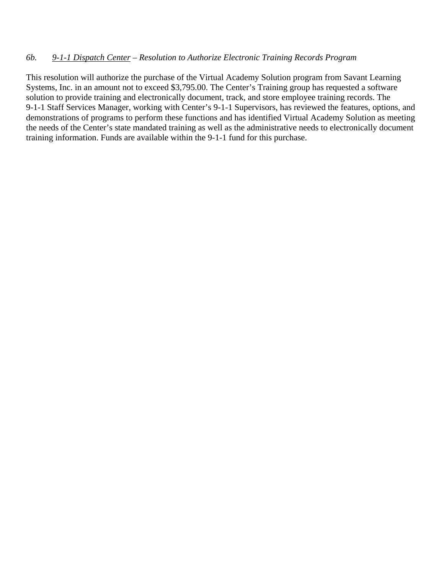#### *6b. 9-1-1 Dispatch Center – Resolution to Authorize Electronic Training Records Program*

This resolution will authorize the purchase of the Virtual Academy Solution program from Savant Learning Systems, Inc. in an amount not to exceed \$3,795.00. The Center's Training group has requested a software solution to provide training and electronically document, track, and store employee training records. The 9-1-1 Staff Services Manager, working with Center's 9-1-1 Supervisors, has reviewed the features, options, and demonstrations of programs to perform these functions and has identified Virtual Academy Solution as meeting the needs of the Center's state mandated training as well as the administrative needs to electronically document training information. Funds are available within the 9-1-1 fund for this purchase.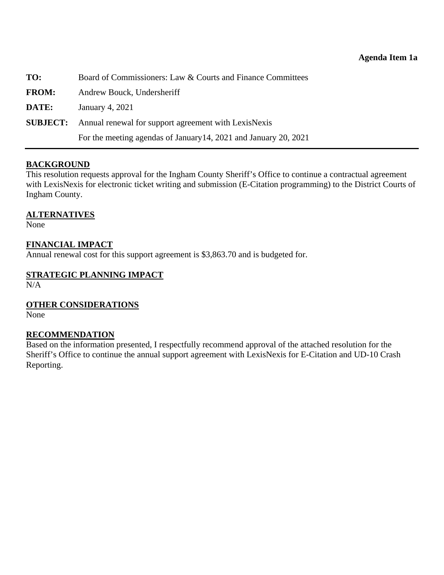<span id="page-13-0"></span>

| TO:          | Board of Commissioners: Law & Courts and Finance Committees          |
|--------------|----------------------------------------------------------------------|
| <b>FROM:</b> | Andrew Bouck, Undersheriff                                           |
| DATE:        | January 4, 2021                                                      |
|              | <b>SUBJECT:</b> Annual renewal for support agreement with LexisNexis |
|              | For the meeting agendas of January 14, 2021 and January 20, 2021     |

#### **BACKGROUND**

This resolution requests approval for the Ingham County Sheriff's Office to continue a contractual agreement with LexisNexis for electronic ticket writing and submission (E-Citation programming) to the District Courts of Ingham County.

#### **ALTERNATIVES**

None

#### **FINANCIAL IMPACT**

Annual renewal cost for this support agreement is \$3,863.70 and is budgeted for.

#### **STRATEGIC PLANNING IMPACT**

N/A

#### **OTHER CONSIDERATIONS**

None

#### **RECOMMENDATION**

Based on the information presented, I respectfully recommend approval of the attached resolution for the Sheriff's Office to continue the annual support agreement with LexisNexis for E-Citation and UD-10 Crash Reporting.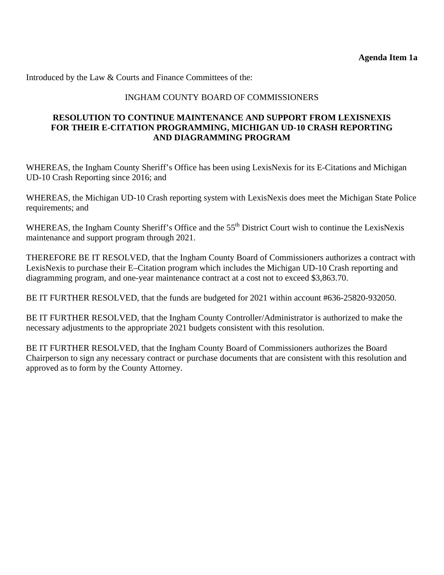Introduced by the Law & Courts and Finance Committees of the:

#### INGHAM COUNTY BOARD OF COMMISSIONERS

#### **RESOLUTION TO CONTINUE MAINTENANCE AND SUPPORT FROM LEXISNEXIS FOR THEIR E-CITATION PROGRAMMING, MICHIGAN UD-10 CRASH REPORTING AND DIAGRAMMING PROGRAM**

WHEREAS, the Ingham County Sheriff's Office has been using LexisNexis for its E-Citations and Michigan UD-10 Crash Reporting since 2016; and

WHEREAS, the Michigan UD-10 Crash reporting system with LexisNexis does meet the Michigan State Police requirements; and

WHEREAS, the Ingham County Sheriff's Office and the 55<sup>th</sup> District Court wish to continue the LexisNexis maintenance and support program through 2021.

THEREFORE BE IT RESOLVED, that the Ingham County Board of Commissioners authorizes a contract with LexisNexis to purchase their E–Citation program which includes the Michigan UD-10 Crash reporting and diagramming program, and one-year maintenance contract at a cost not to exceed \$3,863.70.

BE IT FURTHER RESOLVED, that the funds are budgeted for 2021 within account #636-25820-932050.

BE IT FURTHER RESOLVED, that the Ingham County Controller/Administrator is authorized to make the necessary adjustments to the appropriate 2021 budgets consistent with this resolution.

BE IT FURTHER RESOLVED, that the Ingham County Board of Commissioners authorizes the Board Chairperson to sign any necessary contract or purchase documents that are consistent with this resolution and approved as to form by the County Attorney.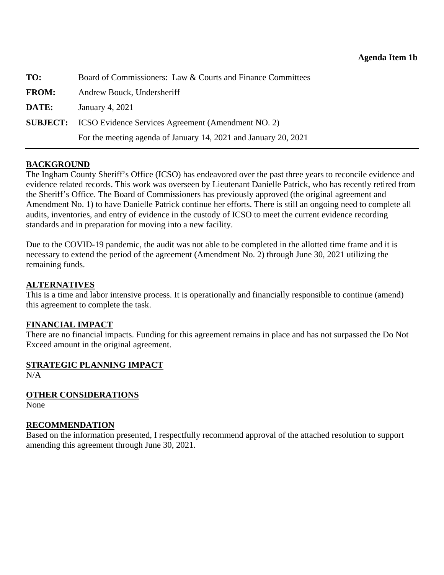<span id="page-15-0"></span>

| TO:          | Board of Commissioners: Law & Courts and Finance Committees        |
|--------------|--------------------------------------------------------------------|
| <b>FROM:</b> | Andrew Bouck, Undersheriff                                         |
| DATE:        | January 4, 2021                                                    |
|              | <b>SUBJECT:</b> ICSO Evidence Services Agreement (Amendment NO. 2) |
|              | For the meeting agenda of January 14, 2021 and January 20, 2021    |

#### **BACKGROUND**

The Ingham County Sheriff's Office (ICSO) has endeavored over the past three years to reconcile evidence and evidence related records. This work was overseen by Lieutenant Danielle Patrick, who has recently retired from the Sheriff's Office. The Board of Commissioners has previously approved (the original agreement and Amendment No. 1) to have Danielle Patrick continue her efforts. There is still an ongoing need to complete all audits, inventories, and entry of evidence in the custody of ICSO to meet the current evidence recording standards and in preparation for moving into a new facility.

Due to the COVID-19 pandemic, the audit was not able to be completed in the allotted time frame and it is necessary to extend the period of the agreement (Amendment No. 2) through June 30, 2021 utilizing the remaining funds.

#### **ALTERNATIVES**

This is a time and labor intensive process. It is operationally and financially responsible to continue (amend) this agreement to complete the task.

#### **FINANCIAL IMPACT**

There are no financial impacts. Funding for this agreement remains in place and has not surpassed the Do Not Exceed amount in the original agreement.

# **STRATEGIC PLANNING IMPACT**

N/A

#### **OTHER CONSIDERATIONS**

None

#### **RECOMMENDATION**

Based on the information presented, I respectfully recommend approval of the attached resolution to support amending this agreement through June 30, 2021.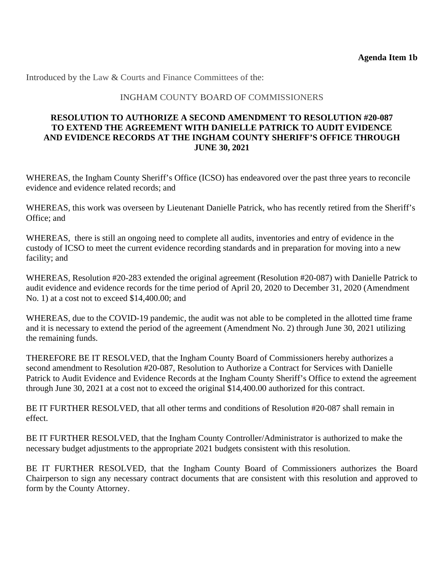Introduced by the Law & Courts and Finance Committees of the:

### INGHAM COUNTY BOARD OF COMMISSIONERS

#### **RESOLUTION TO AUTHORIZE A SECOND AMENDMENT TO RESOLUTION #20-087 TO EXTEND THE AGREEMENT WITH DANIELLE PATRICK TO AUDIT EVIDENCE AND EVIDENCE RECORDS AT THE INGHAM COUNTY SHERIFF'S OFFICE THROUGH JUNE 30, 2021**

WHEREAS, the Ingham County Sheriff's Office (ICSO) has endeavored over the past three years to reconcile evidence and evidence related records; and

WHEREAS, this work was overseen by Lieutenant Danielle Patrick, who has recently retired from the Sheriff's Office; and

WHEREAS, there is still an ongoing need to complete all audits, inventories and entry of evidence in the custody of ICSO to meet the current evidence recording standards and in preparation for moving into a new facility; and

WHEREAS, Resolution #20-283 extended the original agreement (Resolution #20-087) with Danielle Patrick to audit evidence and evidence records for the time period of April 20, 2020 to December 31, 2020 (Amendment No. 1) at a cost not to exceed \$14,400.00; and

WHEREAS, due to the COVID-19 pandemic, the audit was not able to be completed in the allotted time frame and it is necessary to extend the period of the agreement (Amendment No. 2) through June 30, 2021 utilizing the remaining funds.

THEREFORE BE IT RESOLVED, that the Ingham County Board of Commissioners hereby authorizes a second amendment to Resolution #20-087, Resolution to Authorize a Contract for Services with Danielle Patrick to Audit Evidence and Evidence Records at the Ingham County Sheriff's Office to extend the agreement through June 30, 2021 at a cost not to exceed the original \$14,400.00 authorized for this contract.

BE IT FURTHER RESOLVED, that all other terms and conditions of Resolution #20-087 shall remain in effect.

BE IT FURTHER RESOLVED, that the Ingham County Controller/Administrator is authorized to make the necessary budget adjustments to the appropriate 2021 budgets consistent with this resolution.

BE IT FURTHER RESOLVED, that the Ingham County Board of Commissioners authorizes the Board Chairperson to sign any necessary contract documents that are consistent with this resolution and approved to form by the County Attorney.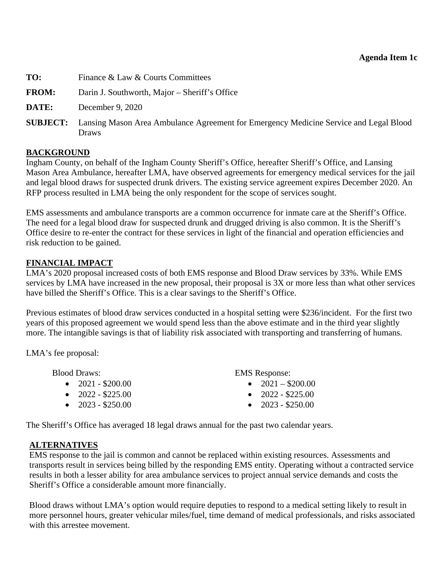#### **Agenda Item 1c**

- <span id="page-17-0"></span>**TO:** Finance & Law & Courts Committees
- **FROM:** Darin J. Southworth, Major Sheriff's Office
- **DATE:** December 9, 2020
- **SUBJECT:** Lansing Mason Area Ambulance Agreement for Emergency Medicine Service and Legal Blood Draws

#### **BACKGROUND**

Ingham County, on behalf of the Ingham County Sheriff's Office, hereafter Sheriff's Office, and Lansing Mason Area Ambulance, hereafter LMA, have observed agreements for emergency medical services for the jail and legal blood draws for suspected drunk drivers. The existing service agreement expires December 2020. An RFP process resulted in LMA being the only respondent for the scope of services sought.

EMS assessments and ambulance transports are a common occurrence for inmate care at the Sheriff's Office. The need for a legal blood draw for suspected drunk and drugged driving is also common. It is the Sheriff's Office desire to re-enter the contract for these services in light of the financial and operation efficiencies and risk reduction to be gained.

#### **FINANCIAL IMPACT**

LMA's 2020 proposal increased costs of both EMS response and Blood Draw services by 33%. While EMS services by LMA have increased in the new proposal, their proposal is 3X or more less than what other services have billed the Sheriff's Office. This is a clear savings to the Sheriff's Office.

Previous estimates of blood draw services conducted in a hospital setting were \$236/incident. For the first two years of this proposed agreement we would spend less than the above estimate and in the third year slightly more. The intangible savings is that of liability risk associated with transporting and transferring of humans.

LMA's fee proposal:

| <b>Blood Draws:</b>       | <b>EMS</b> Response:      |
|---------------------------|---------------------------|
| $\bullet$ 2021 - \$200.00 | • $2021 - $200.00$        |
| $\bullet$ 2022 - \$225.00 | $\bullet$ 2022 - \$225.00 |
| $\bullet$ 2023 - \$250.00 | $\bullet$ 2023 - \$250.00 |
|                           |                           |

The Sheriff's Office has averaged 18 legal draws annual for the past two calendar years.

### **ALTERNATIVES**

EMS response to the jail is common and cannot be replaced within existing resources. Assessments and transports result in services being billed by the responding EMS entity. Operating without a contracted service results in both a lesser ability for area ambulance services to project annual service demands and costs the Sheriff's Office a considerable amount more financially.

Blood draws without LMA's option would require deputies to respond to a medical setting likely to result in more personnel hours, greater vehicular miles/fuel, time demand of medical professionals, and risks associated with this arrestee movement.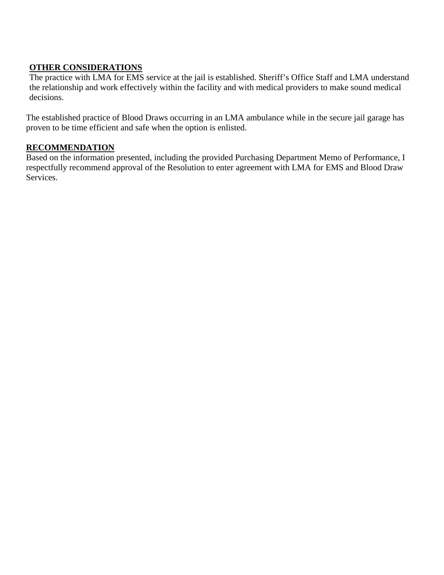### **OTHER CONSIDERATIONS**

The practice with LMA for EMS service at the jail is established. Sheriff's Office Staff and LMA understand the relationship and work effectively within the facility and with medical providers to make sound medical decisions.

The established practice of Blood Draws occurring in an LMA ambulance while in the secure jail garage has proven to be time efficient and safe when the option is enlisted.

### **RECOMMENDATION**

Based on the information presented, including the provided Purchasing Department Memo of Performance, I respectfully recommend approval of the Resolution to enter agreement with LMA for EMS and Blood Draw Services.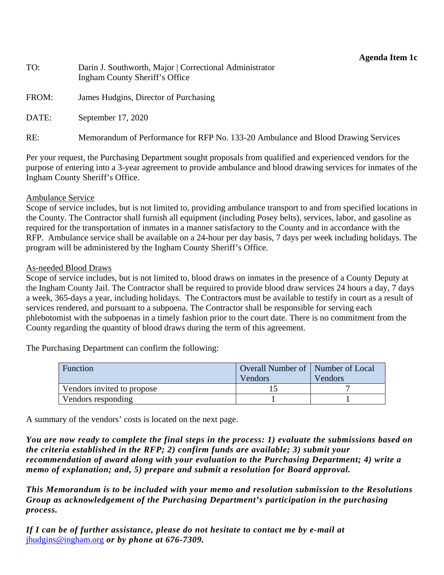#### **Agenda Item 1c**

| TO:   | Darin J. Southworth, Major   Correctional Administrator<br>Ingham County Sheriff's Office |
|-------|-------------------------------------------------------------------------------------------|
| FROM: | James Hudgins, Director of Purchasing                                                     |
| DATE: | September 17, 2020                                                                        |
| RE:   | Memorandum of Performance for RFP No. 133-20 Ambulance and Blood Drawing Services         |

Per your request, the Purchasing Department sought proposals from qualified and experienced vendors for the purpose of entering into a 3-year agreement to provide ambulance and blood drawing services for inmates of the Ingham County Sheriff's Office.

#### Ambulance Service

Scope of service includes, but is not limited to, providing ambulance transport to and from specified locations in the County. The Contractor shall furnish all equipment (including Posey belts), services, labor, and gasoline as required for the transportation of inmates in a manner satisfactory to the County and in accordance with the RFP. Ambulance service shall be available on a 24-hour per day basis, 7 days per week including holidays. The program will be administered by the Ingham County Sheriff's Office.

#### As-needed Blood Draws

Scope of service includes, but is not limited to, blood draws on inmates in the presence of a County Deputy at the Ingham County Jail. The Contractor shall be required to provide blood draw services 24 hours a day, 7 days a week, 365-days a year, including holidays. The Contractors must be available to testify in court as a result of services rendered, and pursuant to a subpoena. The Contractor shall be responsible for serving each phlebotomist with the subpoenas in a timely fashion prior to the court date. There is no commitment from the County regarding the quantity of blood draws during the term of this agreement.

The Purchasing Department can confirm the following:

| Function                   | Overall Number of   Number of Local<br>Vendors | Vendors |
|----------------------------|------------------------------------------------|---------|
| Vendors invited to propose |                                                |         |
| Vendors responding         |                                                |         |

A summary of the vendors' costs is located on the next page.

*You are now ready to complete the final steps in the process: 1) evaluate the submissions based on the criteria established in the RFP; 2) confirm funds are available; 3) submit your recommendation of award along with your evaluation to the Purchasing Department; 4) write a memo of explanation; and, 5) prepare and submit a resolution for Board approval.* 

*This Memorandum is to be included with your memo and resolution submission to the Resolutions Group as acknowledgement of the Purchasing Department's participation in the purchasing process.* 

*If I can be of further assistance, please do not hesitate to contact me by e-mail at*  jhudgins@ingham.org *or by phone at 676-7309.*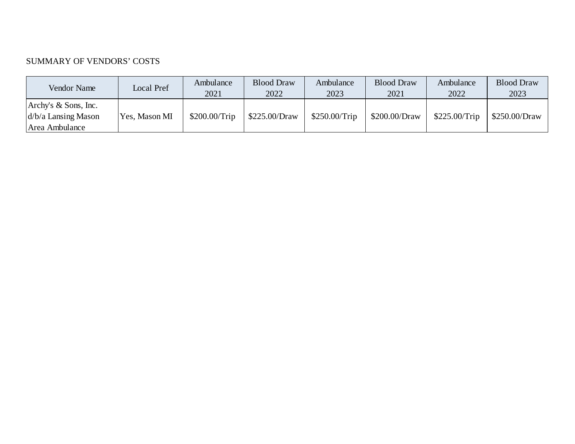### SUMMARY OF VENDORS' COSTS

| Vendor Name                                                        | Local Pref    | Ambulance<br>2021 | <b>Blood Draw</b><br>2022 | Ambulance<br>2023 | <b>Blood Draw</b><br>2021 | Ambulance<br>2022 | <b>Blood Draw</b><br>2023 |
|--------------------------------------------------------------------|---------------|-------------------|---------------------------|-------------------|---------------------------|-------------------|---------------------------|
| Archy's $\&$ Sons, Inc.<br>$d/b/a$ Lansing Mason<br>Area Ambulance | Yes, Mason MI | \$200.00/Trip     | \$225.00/Draw             | \$250.00/Trip     | \$200.00/Draw             | \$225.00/Trip     | \$250.00/Draw             |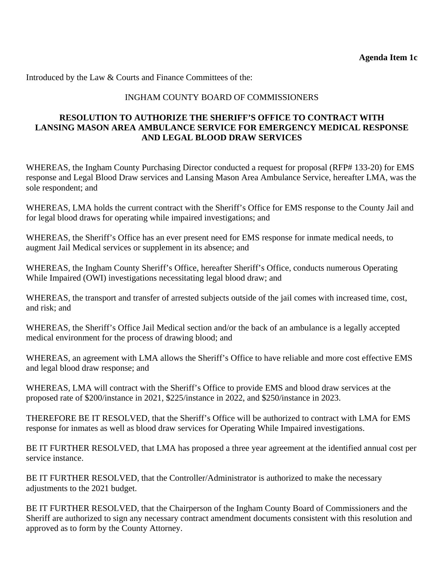Introduced by the Law & Courts and Finance Committees of the:

### INGHAM COUNTY BOARD OF COMMISSIONERS

### **RESOLUTION TO AUTHORIZE THE SHERIFF'S OFFICE TO CONTRACT WITH LANSING MASON AREA AMBULANCE SERVICE FOR EMERGENCY MEDICAL RESPONSE AND LEGAL BLOOD DRAW SERVICES**

WHEREAS, the Ingham County Purchasing Director conducted a request for proposal (RFP# 133-20) for EMS response and Legal Blood Draw services and Lansing Mason Area Ambulance Service, hereafter LMA, was the sole respondent; and

WHEREAS, LMA holds the current contract with the Sheriff's Office for EMS response to the County Jail and for legal blood draws for operating while impaired investigations; and

WHEREAS, the Sheriff's Office has an ever present need for EMS response for inmate medical needs, to augment Jail Medical services or supplement in its absence; and

WHEREAS, the Ingham County Sheriff's Office, hereafter Sheriff's Office, conducts numerous Operating While Impaired (OWI) investigations necessitating legal blood draw; and

WHEREAS, the transport and transfer of arrested subjects outside of the jail comes with increased time, cost, and risk; and

WHEREAS, the Sheriff's Office Jail Medical section and/or the back of an ambulance is a legally accepted medical environment for the process of drawing blood; and

WHEREAS, an agreement with LMA allows the Sheriff's Office to have reliable and more cost effective EMS and legal blood draw response; and

WHEREAS, LMA will contract with the Sheriff's Office to provide EMS and blood draw services at the proposed rate of \$200/instance in 2021, \$225/instance in 2022, and \$250/instance in 2023.

THEREFORE BE IT RESOLVED, that the Sheriff's Office will be authorized to contract with LMA for EMS response for inmates as well as blood draw services for Operating While Impaired investigations.

BE IT FURTHER RESOLVED, that LMA has proposed a three year agreement at the identified annual cost per service instance.

BE IT FURTHER RESOLVED, that the Controller/Administrator is authorized to make the necessary adjustments to the 2021 budget.

BE IT FURTHER RESOLVED, that the Chairperson of the Ingham County Board of Commissioners and the Sheriff are authorized to sign any necessary contract amendment documents consistent with this resolution and approved as to form by the County Attorney.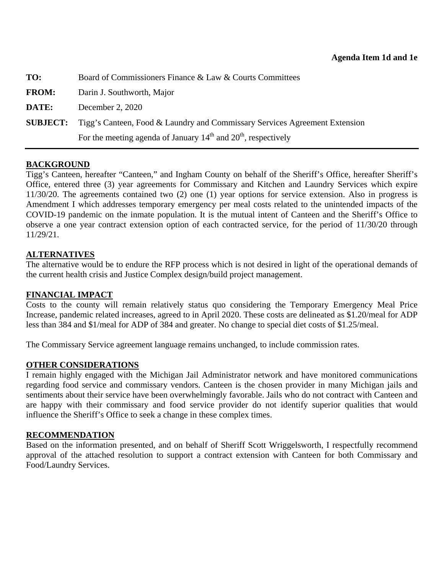| TO:             | Board of Commissioners Finance & Law & Courts Committees                   |
|-----------------|----------------------------------------------------------------------------|
| <b>FROM:</b>    | Darin J. Southworth, Major                                                 |
| DATE:           | December 2, 2020                                                           |
| <b>SUBJECT:</b> | Tigg's Canteen, Food & Laundry and Commissary Services Agreement Extension |
|                 | For the meeting agenda of January $14th$ and $20th$ , respectively         |

### **BACKGROUND**

Tigg's Canteen, hereafter "Canteen," and Ingham County on behalf of the Sheriff's Office, hereafter Sheriff's Office, entered three (3) year agreements for Commissary and Kitchen and Laundry Services which expire 11/30/20. The agreements contained two (2) one (1) year options for service extension. Also in progress is Amendment I which addresses temporary emergency per meal costs related to the unintended impacts of the COVID-19 pandemic on the inmate population. It is the mutual intent of Canteen and the Sheriff's Office to observe a one year contract extension option of each contracted service, for the period of 11/30/20 through 11/29/21.

#### **ALTERNATIVES**

The alternative would be to endure the RFP process which is not desired in light of the operational demands of the current health crisis and Justice Complex design/build project management.

#### **FINANCIAL IMPACT**

Costs to the county will remain relatively status quo considering the Temporary Emergency Meal Price Increase, pandemic related increases, agreed to in April 2020. These costs are delineated as \$1.20/meal for ADP less than 384 and \$1/meal for ADP of 384 and greater. No change to special diet costs of \$1.25/meal.

The Commissary Service agreement language remains unchanged, to include commission rates.

#### **OTHER CONSIDERATIONS**

I remain highly engaged with the Michigan Jail Administrator network and have monitored communications regarding food service and commissary vendors. Canteen is the chosen provider in many Michigan jails and sentiments about their service have been overwhelmingly favorable. Jails who do not contract with Canteen and are happy with their commissary and food service provider do not identify superior qualities that would influence the Sheriff's Office to seek a change in these complex times.

#### **RECOMMENDATION**

Based on the information presented, and on behalf of Sheriff Scott Wriggelsworth, I respectfully recommend approval of the attached resolution to support a contract extension with Canteen for both Commissary and Food/Laundry Services.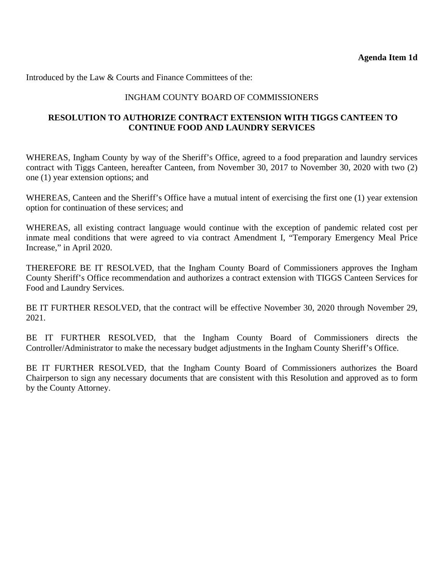<span id="page-23-0"></span>Introduced by the Law & Courts and Finance Committees of the:

### INGHAM COUNTY BOARD OF COMMISSIONERS

### **RESOLUTION TO AUTHORIZE CONTRACT EXTENSION WITH TIGGS CANTEEN TO CONTINUE FOOD AND LAUNDRY SERVICES**

WHEREAS, Ingham County by way of the Sheriff's Office, agreed to a food preparation and laundry services contract with Tiggs Canteen, hereafter Canteen, from November 30, 2017 to November 30, 2020 with two (2) one (1) year extension options; and

WHEREAS, Canteen and the Sheriff's Office have a mutual intent of exercising the first one (1) year extension option for continuation of these services; and

WHEREAS, all existing contract language would continue with the exception of pandemic related cost per inmate meal conditions that were agreed to via contract Amendment I, "Temporary Emergency Meal Price Increase," in April 2020.

THEREFORE BE IT RESOLVED, that the Ingham County Board of Commissioners approves the Ingham County Sheriff's Office recommendation and authorizes a contract extension with TIGGS Canteen Services for Food and Laundry Services.

BE IT FURTHER RESOLVED, that the contract will be effective November 30, 2020 through November 29, 2021.

BE IT FURTHER RESOLVED, that the Ingham County Board of Commissioners directs the Controller/Administrator to make the necessary budget adjustments in the Ingham County Sheriff's Office.

BE IT FURTHER RESOLVED, that the Ingham County Board of Commissioners authorizes the Board Chairperson to sign any necessary documents that are consistent with this Resolution and approved as to form by the County Attorney.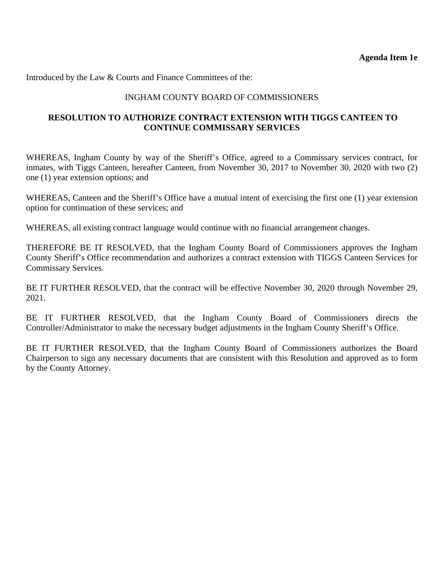<span id="page-24-0"></span>Introduced by the Law & Courts and Finance Committees of the:

### INGHAM COUNTY BOARD OF COMMISSIONERS

#### **RESOLUTION TO AUTHORIZE CONTRACT EXTENSION WITH TIGGS CANTEEN TO CONTINUE COMMISSARY SERVICES**

WHEREAS, Ingham County by way of the Sheriff's Office, agreed to a Commissary services contract, for inmates, with Tiggs Canteen, hereafter Canteen, from November 30, 2017 to November 30, 2020 with two (2) one (1) year extension options; and

WHEREAS, Canteen and the Sheriff's Office have a mutual intent of exercising the first one (1) year extension option for continuation of these services; and

WHEREAS, all existing contract language would continue with no financial arrangement changes.

THEREFORE BE IT RESOLVED, that the Ingham County Board of Commissioners approves the Ingham County Sheriff's Office recommendation and authorizes a contract extension with TIGGS Canteen Services for Commissary Services.

BE IT FURTHER RESOLVED, that the contract will be effective November 30, 2020 through November 29, 2021.

BE IT FURTHER RESOLVED, that the Ingham County Board of Commissioners directs the Controller/Administrator to make the necessary budget adjustments in the Ingham County Sheriff's Office.

BE IT FURTHER RESOLVED, that the Ingham County Board of Commissioners authorizes the Board Chairperson to sign any necessary documents that are consistent with this Resolution and approved as to form by the County Attorney.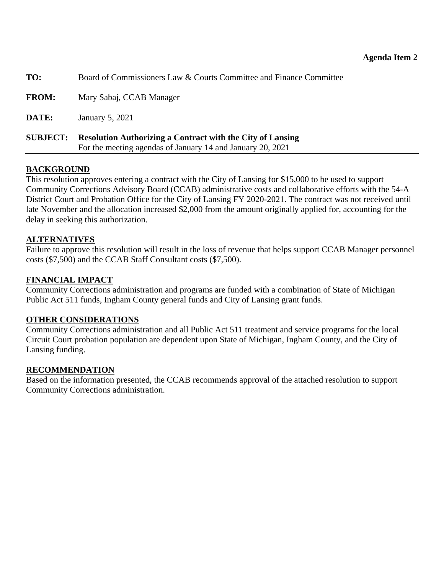<span id="page-25-0"></span>

| TO:             | Board of Commissioners Law & Courts Committee and Finance Committee                                                             |
|-----------------|---------------------------------------------------------------------------------------------------------------------------------|
| <b>FROM:</b>    | Mary Sabaj, CCAB Manager                                                                                                        |
| DATE:           | January 5, 2021                                                                                                                 |
| <b>SUBJECT:</b> | <b>Resolution Authorizing a Contract with the City of Lansing</b><br>For the meeting agendas of January 14 and January 20, 2021 |

### **BACKGROUND**

This resolution approves entering a contract with the City of Lansing for \$15,000 to be used to support Community Corrections Advisory Board (CCAB) administrative costs and collaborative efforts with the 54-A District Court and Probation Office for the City of Lansing FY 2020-2021. The contract was not received until late November and the allocation increased \$2,000 from the amount originally applied for, accounting for the delay in seeking this authorization.

### **ALTERNATIVES**

Failure to approve this resolution will result in the loss of revenue that helps support CCAB Manager personnel costs (\$7,500) and the CCAB Staff Consultant costs (\$7,500).

#### **FINANCIAL IMPACT**

Community Corrections administration and programs are funded with a combination of State of Michigan Public Act 511 funds, Ingham County general funds and City of Lansing grant funds.

#### **OTHER CONSIDERATIONS**

Community Corrections administration and all Public Act 511 treatment and service programs for the local Circuit Court probation population are dependent upon State of Michigan, Ingham County, and the City of Lansing funding.

#### **RECOMMENDATION**

Based on the information presented, the CCAB recommends approval of the attached resolution to support Community Corrections administration.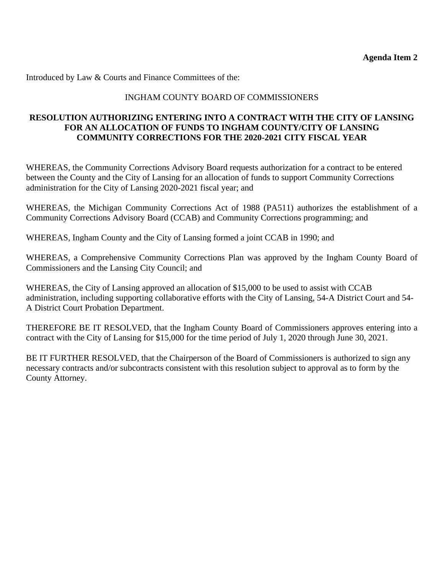Introduced by Law & Courts and Finance Committees of the:

### INGHAM COUNTY BOARD OF COMMISSIONERS

### **RESOLUTION AUTHORIZING ENTERING INTO A CONTRACT WITH THE CITY OF LANSING FOR AN ALLOCATION OF FUNDS TO INGHAM COUNTY/CITY OF LANSING COMMUNITY CORRECTIONS FOR THE 2020-2021 CITY FISCAL YEAR**

WHEREAS, the Community Corrections Advisory Board requests authorization for a contract to be entered between the County and the City of Lansing for an allocation of funds to support Community Corrections administration for the City of Lansing 2020-2021 fiscal year; and

WHEREAS, the Michigan Community Corrections Act of 1988 (PA511) authorizes the establishment of a Community Corrections Advisory Board (CCAB) and Community Corrections programming; and

WHEREAS, Ingham County and the City of Lansing formed a joint CCAB in 1990; and

WHEREAS, a Comprehensive Community Corrections Plan was approved by the Ingham County Board of Commissioners and the Lansing City Council; and

WHEREAS, the City of Lansing approved an allocation of \$15,000 to be used to assist with CCAB administration, including supporting collaborative efforts with the City of Lansing, 54-A District Court and 54- A District Court Probation Department.

THEREFORE BE IT RESOLVED, that the Ingham County Board of Commissioners approves entering into a contract with the City of Lansing for \$15,000 for the time period of July 1, 2020 through June 30, 2021.

BE IT FURTHER RESOLVED, that the Chairperson of the Board of Commissioners is authorized to sign any necessary contracts and/or subcontracts consistent with this resolution subject to approval as to form by the County Attorney.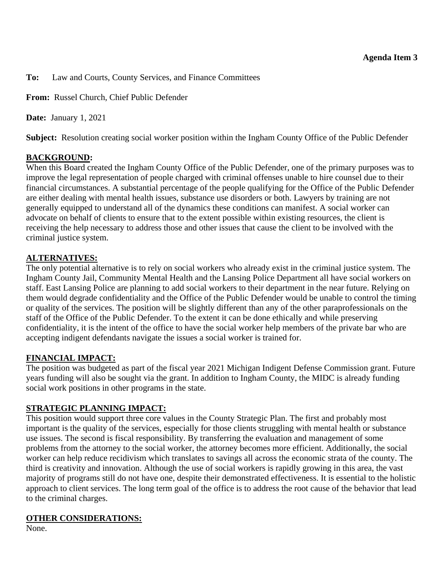<span id="page-27-0"></span>**To:** Law and Courts, County Services, and Finance Committees

**From:** Russel Church, Chief Public Defender

**Date:** January 1, 2021

**Subject:** Resolution creating social worker position within the Ingham County Office of the Public Defender

### **BACKGROUND:**

When this Board created the Ingham County Office of the Public Defender, one of the primary purposes was to improve the legal representation of people charged with criminal offenses unable to hire counsel due to their financial circumstances. A substantial percentage of the people qualifying for the Office of the Public Defender are either dealing with mental health issues, substance use disorders or both. Lawyers by training are not generally equipped to understand all of the dynamics these conditions can manifest. A social worker can advocate on behalf of clients to ensure that to the extent possible within existing resources, the client is receiving the help necessary to address those and other issues that cause the client to be involved with the criminal justice system.

### **ALTERNATIVES:**

The only potential alternative is to rely on social workers who already exist in the criminal justice system. The Ingham County Jail, Community Mental Health and the Lansing Police Department all have social workers on staff. East Lansing Police are planning to add social workers to their department in the near future. Relying on them would degrade confidentiality and the Office of the Public Defender would be unable to control the timing or quality of the services. The position will be slightly different than any of the other paraprofessionals on the staff of the Office of the Public Defender. To the extent it can be done ethically and while preserving confidentiality, it is the intent of the office to have the social worker help members of the private bar who are accepting indigent defendants navigate the issues a social worker is trained for.

### **FINANCIAL IMPACT:**

The position was budgeted as part of the fiscal year 2021 Michigan Indigent Defense Commission grant. Future years funding will also be sought via the grant. In addition to Ingham County, the MIDC is already funding social work positions in other programs in the state.

### **STRATEGIC PLANNING IMPACT:**

This position would support three core values in the County Strategic Plan. The first and probably most important is the quality of the services, especially for those clients struggling with mental health or substance use issues. The second is fiscal responsibility. By transferring the evaluation and management of some problems from the attorney to the social worker, the attorney becomes more efficient. Additionally, the social worker can help reduce recidivism which translates to savings all across the economic strata of the county. The third is creativity and innovation. Although the use of social workers is rapidly growing in this area, the vast majority of programs still do not have one, despite their demonstrated effectiveness. It is essential to the holistic approach to client services. The long term goal of the office is to address the root cause of the behavior that lead to the criminal charges.

### **OTHER CONSIDERATIONS:**

None.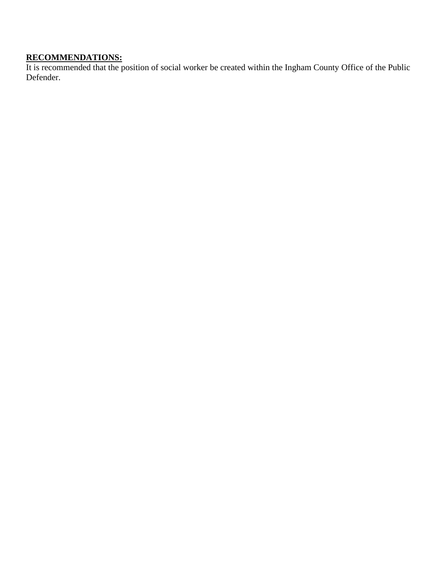#### **RECOMMENDATIONS:**

It is recommended that the position of social worker be created within the Ingham County Office of the Public Defender.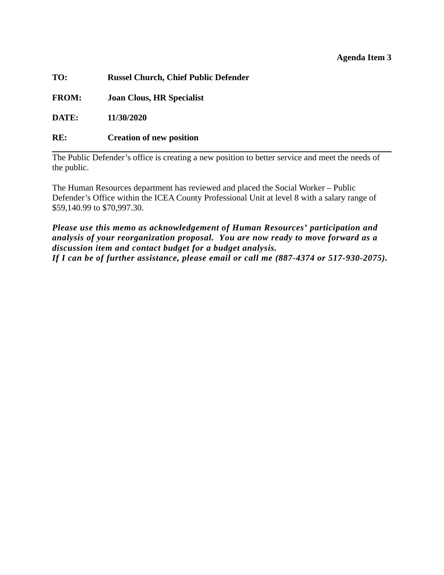#### **Agenda Item 3**

**TO: Russel Church, Chief Public Defender** 

**FROM: Joan Clous, HR Specialist** 

**DATE: 11/30/2020** 

### **RE: Creation of new position**

The Public Defender's office is creating a new position to better service and meet the needs of the public.

The Human Resources department has reviewed and placed the Social Worker – Public Defender's Office within the ICEA County Professional Unit at level 8 with a salary range of \$59,140.99 to \$70,997.30.

*Please use this memo as acknowledgement of Human Resources' participation and analysis of your reorganization proposal. You are now ready to move forward as a discussion item and contact budget for a budget analysis. If I can be of further assistance, please email or call me (887-4374 or 517-930-2075).*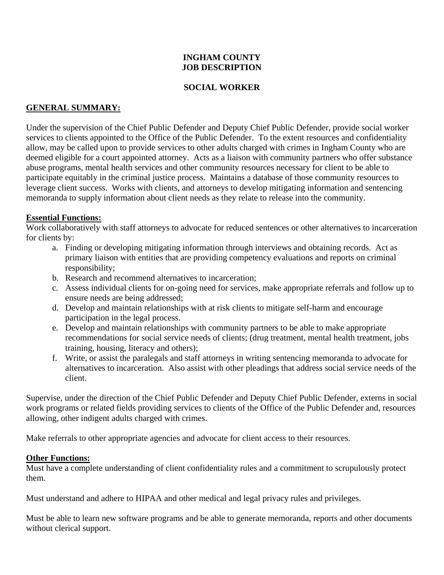#### **INGHAM COUNTY JOB DESCRIPTION**

### **SOCIAL WORKER**

### **GENERAL SUMMARY:**

Under the supervision of the Chief Public Defender and Deputy Chief Public Defender, provide social worker services to clients appointed to the Office of the Public Defender. To the extent resources and confidentiality allow, may be called upon to provide services to other adults charged with crimes in Ingham County who are deemed eligible for a court appointed attorney. Acts as a liaison with community partners who offer substance abuse programs, mental health services and other community resources necessary for client to be able to participate equitably in the criminal justice process. Maintains a database of those community resources to leverage client success. Works with clients, and attorneys to develop mitigating information and sentencing memoranda to supply information about client needs as they relate to release into the community.

### **Essential Functions:**

Work collaboratively with staff attorneys to advocate for reduced sentences or other alternatives to incarceration for clients by:

- a. Finding or developing mitigating information through interviews and obtaining records. Act as primary liaison with entities that are providing competency evaluations and reports on criminal responsibility;
- b. Research and recommend alternatives to incarceration;
- c. Assess individual clients for on-going need for services, make appropriate referrals and follow up to ensure needs are being addressed;
- d. Develop and maintain relationships with at risk clients to mitigate self-harm and encourage participation in the legal process.
- e. Develop and maintain relationships with community partners to be able to make appropriate recommendations for social service needs of clients; (drug treatment, mental health treatment, jobs training, housing, literacy and others);
- f. Write, or assist the paralegals and staff attorneys in writing sentencing memoranda to advocate for alternatives to incarceration. Also assist with other pleadings that address social service needs of the client.

Supervise, under the direction of the Chief Public Defender and Deputy Chief Public Defender, externs in social work programs or related fields providing services to clients of the Office of the Public Defender and, resources allowing, other indigent adults charged with crimes.

Make referrals to other appropriate agencies and advocate for client access to their resources.

#### **Other Functions:**

Must have a complete understanding of client confidentiality rules and a commitment to scrupulously protect them.

Must understand and adhere to HIPAA and other medical and legal privacy rules and privileges.

Must be able to learn new software programs and be able to generate memoranda, reports and other documents without clerical support.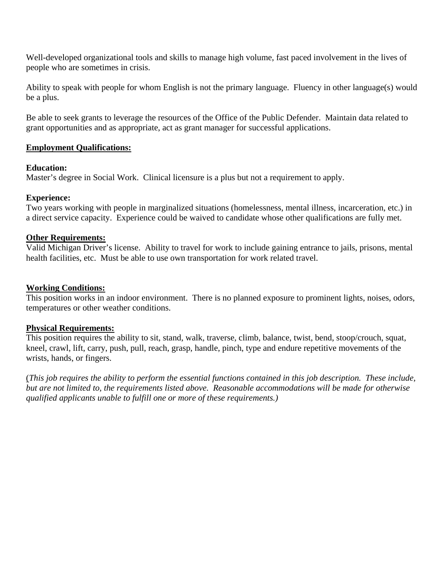Well-developed organizational tools and skills to manage high volume, fast paced involvement in the lives of people who are sometimes in crisis.

Ability to speak with people for whom English is not the primary language. Fluency in other language(s) would be a plus.

Be able to seek grants to leverage the resources of the Office of the Public Defender. Maintain data related to grant opportunities and as appropriate, act as grant manager for successful applications.

#### **Employment Qualifications:**

#### **Education:**

Master's degree in Social Work. Clinical licensure is a plus but not a requirement to apply.

#### **Experience:**

Two years working with people in marginalized situations (homelessness, mental illness, incarceration, etc.) in a direct service capacity. Experience could be waived to candidate whose other qualifications are fully met.

#### **Other Requirements:**

Valid Michigan Driver's license. Ability to travel for work to include gaining entrance to jails, prisons, mental health facilities, etc. Must be able to use own transportation for work related travel.

#### **Working Conditions:**

This position works in an indoor environment. There is no planned exposure to prominent lights, noises, odors, temperatures or other weather conditions.

#### **Physical Requirements:**

This position requires the ability to sit, stand, walk, traverse, climb, balance, twist, bend, stoop/crouch, squat, kneel, crawl, lift, carry, push, pull, reach, grasp, handle, pinch, type and endure repetitive movements of the wrists, hands, or fingers.

(*This job requires the ability to perform the essential functions contained in this job description. These include, but are not limited to, the requirements listed above. Reasonable accommodations will be made for otherwise qualified applicants unable to fulfill one or more of these requirements.)*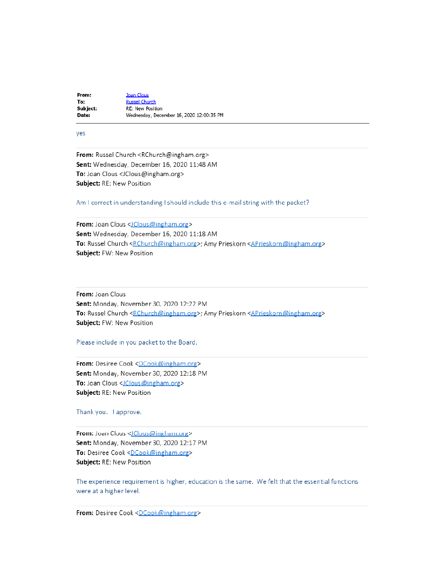**Joan Clous** From: To: **Russel Church** Subject: RE: New Position Date: Wednesday, December 16, 2020 12:00:35 PM

#### yes

From: Russel Church <RChurch@ingham.org> Sent: Wednesday, December 16, 2020 11:48 AM To: Joan Clous <JClous@ingham.org> Subject: RE: New Position

#### Am I correct in understanding I should include this e-mail string with the packet?

From: Joan Clous <JClous@ingham.org> Sent: Wednesday, December 16, 2020 11:18 AM To: Russel Church <RChurch@ingham.org>; Amy Prieskorn <APrieskorn@ingham.org> Subject: FW: New Position

From: Joan Clous Sent: Monday, November 30, 2020 12:22 PM To: Russel Church <RChurch@ingham.org>; Amy Prieskorn <APrieskorn@ingham.org> Subject: FW: New Position

Please include in you packet to the Board.

From: Desiree Cook <DCook@ingham.org> Sent: Monday, November 30, 2020 12:18 PM To: Joan Clous <JClous@ingham.org> Subject: RE: New Position

Thank you. I approve.

From: Joan Clous <JClous@ingham.org> Sent: Monday, November 30, 2020 12:17 PM To: Desiree Cook <DCook@ingham.org> Subject: RE: New Position

The experience requirement is higher, education is the same. We felt that the essential functions were at a higher level.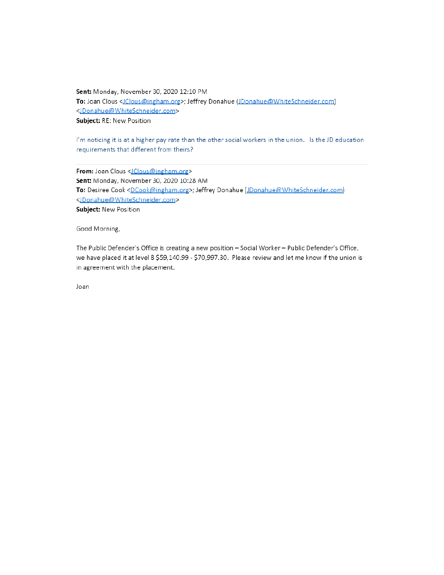Sent: Monday, November 30, 2020 12:10 PM To: Joan Clous < JClous@ingham.org>; Jeffrey Donahue (JDonahue@WhiteSchneider.com) <JDonahue@WhiteSchneider.com> Subject: RE: New Position

I'm noticing it is at a higher pay rate than the other social workers in the union. Is the JD education requirements that different from theirs?

From: Joan Clous < JClous@ingham.org> Sent: Monday, November 30, 2020 10:28 AM To: Desiree Cook <DCook@ingham.org>; Jeffrey Donahue (JDonahue@WhiteSchneider.com) <JDonahue@WhiteSchneider.com> Subject: New Position

Good Morning,

The Public Defender's Office is creating a new position - Social Worker - Public Defender's Office, we have placed it at level 8 \$59,140.99 - \$70,997.30. Please review and let me know if the union is in agreement with the placement.

Joan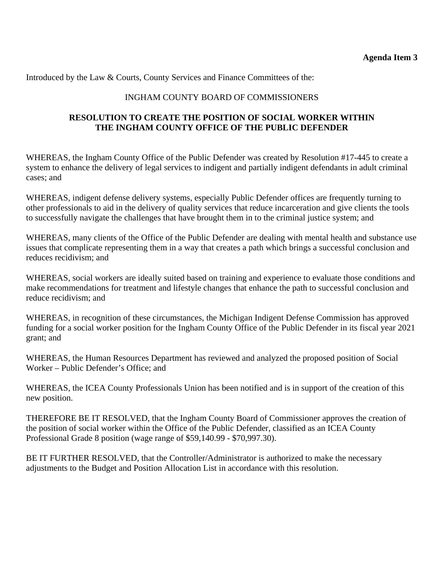Introduced by the Law & Courts, County Services and Finance Committees of the:

### INGHAM COUNTY BOARD OF COMMISSIONERS

### **RESOLUTION TO CREATE THE POSITION OF SOCIAL WORKER WITHIN THE INGHAM COUNTY OFFICE OF THE PUBLIC DEFENDER**

WHEREAS, the Ingham County Office of the Public Defender was created by Resolution #17-445 to create a system to enhance the delivery of legal services to indigent and partially indigent defendants in adult criminal cases; and

WHEREAS, indigent defense delivery systems, especially Public Defender offices are frequently turning to other professionals to aid in the delivery of quality services that reduce incarceration and give clients the tools to successfully navigate the challenges that have brought them in to the criminal justice system; and

WHEREAS, many clients of the Office of the Public Defender are dealing with mental health and substance use issues that complicate representing them in a way that creates a path which brings a successful conclusion and reduces recidivism; and

WHEREAS, social workers are ideally suited based on training and experience to evaluate those conditions and make recommendations for treatment and lifestyle changes that enhance the path to successful conclusion and reduce recidivism; and

WHEREAS, in recognition of these circumstances, the Michigan Indigent Defense Commission has approved funding for a social worker position for the Ingham County Office of the Public Defender in its fiscal year 2021 grant; and

WHEREAS, the Human Resources Department has reviewed and analyzed the proposed position of Social Worker – Public Defender's Office; and

WHEREAS, the ICEA County Professionals Union has been notified and is in support of the creation of this new position.

THEREFORE BE IT RESOLVED, that the Ingham County Board of Commissioner approves the creation of the position of social worker within the Office of the Public Defender, classified as an ICEA County Professional Grade 8 position (wage range of \$59,140.99 - \$70,997.30).

BE IT FURTHER RESOLVED, that the Controller/Administrator is authorized to make the necessary adjustments to the Budget and Position Allocation List in accordance with this resolution.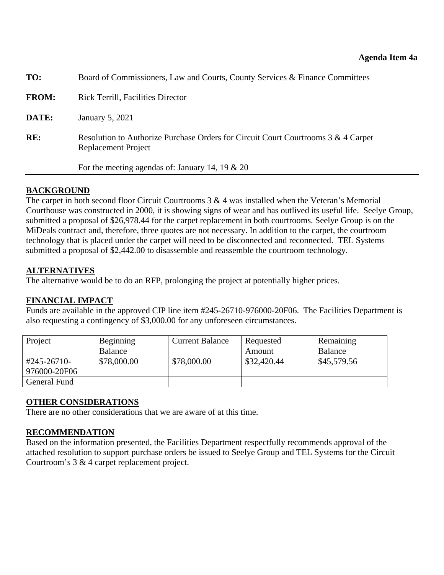<span id="page-35-0"></span>

| TO:          | Board of Commissioners, Law and Courts, County Services & Finance Committees                             |
|--------------|----------------------------------------------------------------------------------------------------------|
| <b>FROM:</b> | <b>Rick Terrill, Facilities Director</b>                                                                 |
| DATE:        | January 5, 2021                                                                                          |
| RE:          | Resolution to Authorize Purchase Orders for Circuit Court Courtrooms 3 & 4 Carpet<br>Replacement Project |
|              | For the meeting agendas of: January 14, 19 $\&$ 20                                                       |
|              |                                                                                                          |

#### **BACKGROUND**

The carpet in both second floor Circuit Courtrooms  $3 \& 4$  was installed when the Veteran's Memorial Courthouse was constructed in 2000, it is showing signs of wear and has outlived its useful life. Seelye Group, submitted a proposal of \$26,978.44 for the carpet replacement in both courtrooms. Seelye Group is on the MiDeals contract and, therefore, three quotes are not necessary. In addition to the carpet, the courtroom technology that is placed under the carpet will need to be disconnected and reconnected. TEL Systems submitted a proposal of \$2,442.00 to disassemble and reassemble the courtroom technology.

#### **ALTERNATIVES**

The alternative would be to do an RFP, prolonging the project at potentially higher prices.

### **FINANCIAL IMPACT**

Funds are available in the approved CIP line item #245-26710-976000-20F06. The Facilities Department is also requesting a contingency of \$3,000.00 for any unforeseen circumstances.

| Project      | Beginning   | <b>Current Balance</b> | Requested   | Remaining   |
|--------------|-------------|------------------------|-------------|-------------|
|              | Balance     |                        | Amount      | Balance     |
| #245-26710-  | \$78,000.00 | \$78,000.00            | \$32,420.44 | \$45,579.56 |
| 976000-20F06 |             |                        |             |             |
| General Fund |             |                        |             |             |

#### **OTHER CONSIDERATIONS**

There are no other considerations that we are aware of at this time.

### **RECOMMENDATION**

Based on the information presented, the Facilities Department respectfully recommends approval of the attached resolution to support purchase orders be issued to Seelye Group and TEL Systems for the Circuit Courtroom's 3 & 4 carpet replacement project.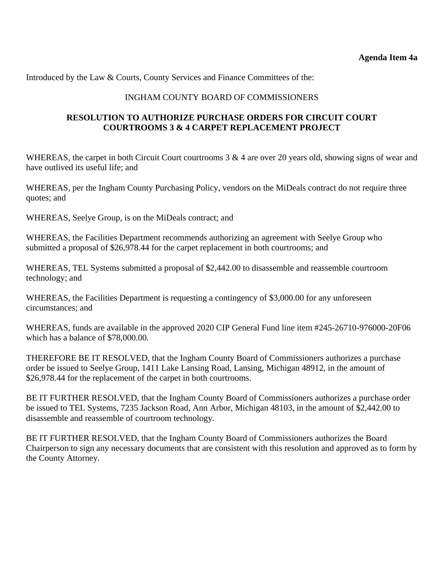Introduced by the Law & Courts, County Services and Finance Committees of the:

#### INGHAM COUNTY BOARD OF COMMISSIONERS

### **RESOLUTION TO AUTHORIZE PURCHASE ORDERS FOR CIRCUIT COURT COURTROOMS 3 & 4 CARPET REPLACEMENT PROJECT**

WHEREAS, the carpet in both Circuit Court courtrooms 3 & 4 are over 20 years old, showing signs of wear and have outlived its useful life; and

WHEREAS, per the Ingham County Purchasing Policy, vendors on the MiDeals contract do not require three quotes; and

WHEREAS, Seelye Group, is on the MiDeals contract; and

WHEREAS, the Facilities Department recommends authorizing an agreement with Seelye Group who submitted a proposal of \$26,978.44 for the carpet replacement in both courtrooms; and

WHEREAS, TEL Systems submitted a proposal of \$2,442.00 to disassemble and reassemble courtroom technology; and

WHEREAS, the Facilities Department is requesting a contingency of \$3,000.00 for any unforeseen circumstances; and

WHEREAS, funds are available in the approved 2020 CIP General Fund line item #245-26710-976000-20F06 which has a balance of \$78,000.00.

THEREFORE BE IT RESOLVED, that the Ingham County Board of Commissioners authorizes a purchase order be issued to Seelye Group, 1411 Lake Lansing Road, Lansing, Michigan 48912, in the amount of \$26,978.44 for the replacement of the carpet in both courtrooms.

BE IT FURTHER RESOLVED, that the Ingham County Board of Commissioners authorizes a purchase order be issued to TEL Systems, 7235 Jackson Road, Ann Arbor, Michigan 48103, in the amount of \$2,442.00 to disassemble and reassemble of courtroom technology.

BE IT FURTHER RESOLVED, that the Ingham County Board of Commissioners authorizes the Board Chairperson to sign any necessary documents that are consistent with this resolution and approved as to form by the County Attorney.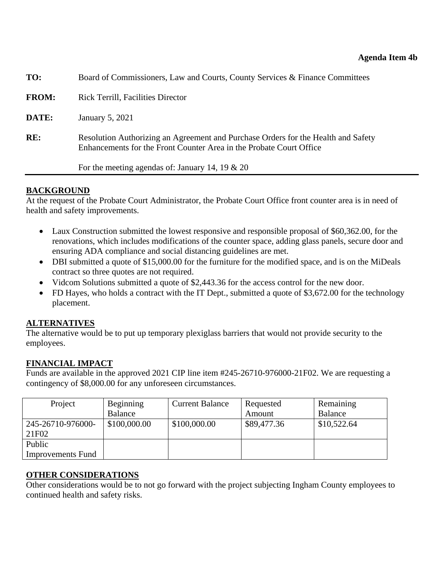<span id="page-37-0"></span>

| TO:          | Board of Commissioners, Law and Courts, County Services & Finance Committees                                                                             |  |  |  |
|--------------|----------------------------------------------------------------------------------------------------------------------------------------------------------|--|--|--|
| <b>FROM:</b> | <b>Rick Terrill, Facilities Director</b>                                                                                                                 |  |  |  |
| DATE:        | January 5, 2021                                                                                                                                          |  |  |  |
| RE:          | Resolution Authorizing an Agreement and Purchase Orders for the Health and Safety<br>Enhancements for the Front Counter Area in the Probate Court Office |  |  |  |
|              | For the meeting agendas of: January 14, 19 $\&$ 20                                                                                                       |  |  |  |

### **BACKGROUND**

At the request of the Probate Court Administrator, the Probate Court Office front counter area is in need of health and safety improvements.

- Laux Construction submitted the lowest responsive and responsible proposal of \$60,362.00, for the renovations, which includes modifications of the counter space, adding glass panels, secure door and ensuring ADA compliance and social distancing guidelines are met.
- DBI submitted a quote of \$15,000.00 for the furniture for the modified space, and is on the MiDeals contract so three quotes are not required.
- Vidcom Solutions submitted a quote of \$2,443.36 for the access control for the new door.
- FD Hayes, who holds a contract with the IT Dept., submitted a quote of \$3,672.00 for the technology placement.

### **ALTERNATIVES**

The alternative would be to put up temporary plexiglass barriers that would not provide security to the employees.

### **FINANCIAL IMPACT**

Funds are available in the approved 2021 CIP line item #245-26710-976000-21F02. We are requesting a contingency of \$8,000.00 for any unforeseen circumstances.

| Project                    | Beginning    | <b>Current Balance</b> | Requested   | Remaining   |
|----------------------------|--------------|------------------------|-------------|-------------|
|                            | Balance      |                        | Amount      | Balance     |
| 245-26710-976000-<br>21F02 | \$100,000.00 | \$100,000.00           | \$89,477.36 | \$10,522.64 |
| Public                     |              |                        |             |             |
| <b>Improvements Fund</b>   |              |                        |             |             |

### **OTHER CONSIDERATIONS**

Other considerations would be to not go forward with the project subjecting Ingham County employees to continued health and safety risks.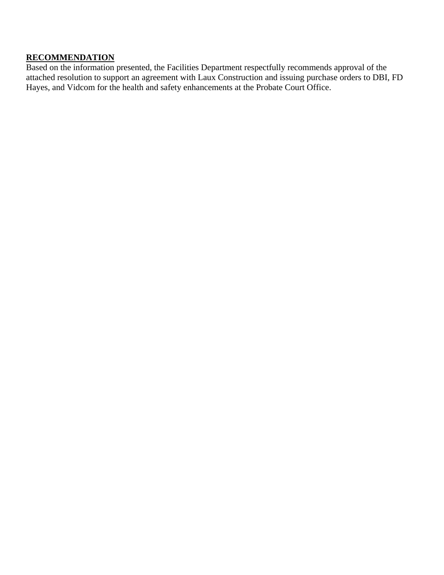## **RECOMMENDATION**

Based on the information presented, the Facilities Department respectfully recommends approval of the attached resolution to support an agreement with Laux Construction and issuing purchase orders to DBI, FD Hayes, and Vidcom for the health and safety enhancements at the Probate Court Office.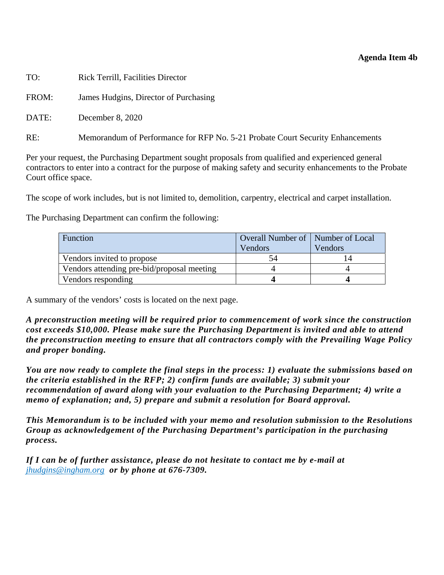### **Agenda Item 4b**

| TO:   | <b>Rick Terrill, Facilities Director</b>                                       |
|-------|--------------------------------------------------------------------------------|
| FROM: | James Hudgins, Director of Purchasing                                          |
| DATE: | December 8, 2020                                                               |
| RE:   | Memorandum of Performance for RFP No. 5-21 Probate Court Security Enhancements |

Per your request, the Purchasing Department sought proposals from qualified and experienced general contractors to enter into a contract for the purpose of making safety and security enhancements to the Probate Court office space.

The scope of work includes, but is not limited to, demolition, carpentry, electrical and carpet installation.

The Purchasing Department can confirm the following:

| <b>Function</b>                            | <b>Overall Number of   Number of Local</b> |         |  |
|--------------------------------------------|--------------------------------------------|---------|--|
|                                            | Vendors                                    | Vendors |  |
| Vendors invited to propose                 | 34                                         |         |  |
| Vendors attending pre-bid/proposal meeting |                                            |         |  |
| Vendors responding                         |                                            |         |  |

A summary of the vendors' costs is located on the next page.

*A preconstruction meeting will be required prior to commencement of work since the construction cost exceeds \$10,000. Please make sure the Purchasing Department is invited and able to attend the preconstruction meeting to ensure that all contractors comply with the Prevailing Wage Policy and proper bonding.* 

*You are now ready to complete the final steps in the process: 1) evaluate the submissions based on the criteria established in the RFP; 2) confirm funds are available; 3) submit your recommendation of award along with your evaluation to the Purchasing Department; 4) write a memo of explanation; and, 5) prepare and submit a resolution for Board approval.* 

*This Memorandum is to be included with your memo and resolution submission to the Resolutions Group as acknowledgement of the Purchasing Department's participation in the purchasing process.* 

*If I can be of further assistance, please do not hesitate to contact me by e-mail at jhudgins@ingham.org or by phone at 676-7309.*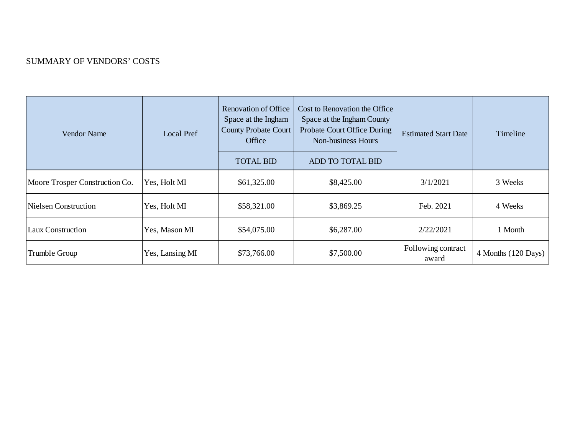#### SUMMARY OF VENDORS' COSTS

| <b>Vendor Name</b>             | Local Pref      | <b>Renovation of Office</b><br>Space at the Ingham<br><b>County Probate Court</b><br>Office<br><b>TOTAL BID</b> | Cost to Renovation the Office<br>Space at the Ingham County<br>Probate Court Office During<br>Non-business Hours<br>ADD TO TOTAL BID | <b>Estimated Start Date</b> | Timeline            |
|--------------------------------|-----------------|-----------------------------------------------------------------------------------------------------------------|--------------------------------------------------------------------------------------------------------------------------------------|-----------------------------|---------------------|
| Moore Trosper Construction Co. | Yes, Holt MI    | \$61,325.00                                                                                                     | \$8,425.00                                                                                                                           | 3/1/2021                    | 3 Weeks             |
| Nielsen Construction           | Yes, Holt MI    | \$58,321.00                                                                                                     | \$3,869.25                                                                                                                           | Feb. 2021                   | 4 Weeks             |
| <b>Laux Construction</b>       | Yes, Mason MI   | \$54,075.00                                                                                                     | \$6,287.00                                                                                                                           | 2/22/2021                   | 1 Month             |
| Trumble Group                  | Yes, Lansing MI | \$73,766.00                                                                                                     | \$7,500.00                                                                                                                           | Following contract<br>award | 4 Months (120 Days) |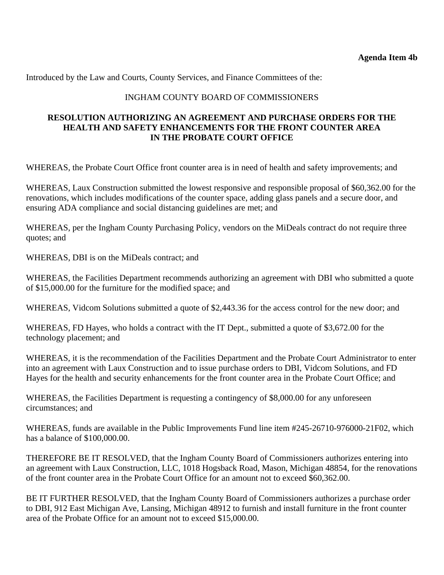Introduced by the Law and Courts, County Services, and Finance Committees of the:

### INGHAM COUNTY BOARD OF COMMISSIONERS

### **RESOLUTION AUTHORIZING AN AGREEMENT AND PURCHASE ORDERS FOR THE HEALTH AND SAFETY ENHANCEMENTS FOR THE FRONT COUNTER AREA IN THE PROBATE COURT OFFICE**

WHEREAS, the Probate Court Office front counter area is in need of health and safety improvements; and

WHEREAS, Laux Construction submitted the lowest responsive and responsible proposal of \$60,362.00 for the renovations, which includes modifications of the counter space, adding glass panels and a secure door, and ensuring ADA compliance and social distancing guidelines are met; and

WHEREAS, per the Ingham County Purchasing Policy, vendors on the MiDeals contract do not require three quotes; and

WHEREAS, DBI is on the MiDeals contract; and

WHEREAS, the Facilities Department recommends authorizing an agreement with DBI who submitted a quote of \$15,000.00 for the furniture for the modified space; and

WHEREAS, Vidcom Solutions submitted a quote of \$2,443.36 for the access control for the new door; and

WHEREAS, FD Hayes, who holds a contract with the IT Dept., submitted a quote of \$3,672.00 for the technology placement; and

WHEREAS, it is the recommendation of the Facilities Department and the Probate Court Administrator to enter into an agreement with Laux Construction and to issue purchase orders to DBI, Vidcom Solutions, and FD Hayes for the health and security enhancements for the front counter area in the Probate Court Office; and

WHEREAS, the Facilities Department is requesting a contingency of \$8,000.00 for any unforeseen circumstances; and

WHEREAS, funds are available in the Public Improvements Fund line item #245-26710-976000-21F02, which has a balance of \$100,000.00.

THEREFORE BE IT RESOLVED, that the Ingham County Board of Commissioners authorizes entering into an agreement with Laux Construction, LLC, 1018 Hogsback Road, Mason, Michigan 48854, for the renovations of the front counter area in the Probate Court Office for an amount not to exceed \$60,362.00.

BE IT FURTHER RESOLVED, that the Ingham County Board of Commissioners authorizes a purchase order to DBI, 912 East Michigan Ave, Lansing, Michigan 48912 to furnish and install furniture in the front counter area of the Probate Office for an amount not to exceed \$15,000.00.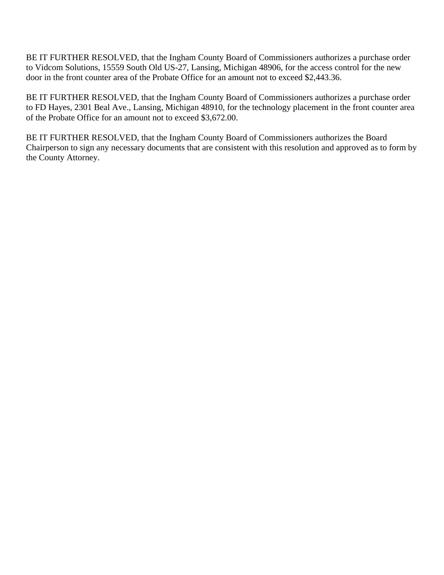BE IT FURTHER RESOLVED, that the Ingham County Board of Commissioners authorizes a purchase order to Vidcom Solutions, 15559 South Old US-27, Lansing, Michigan 48906, for the access control for the new door in the front counter area of the Probate Office for an amount not to exceed \$2,443.36.

BE IT FURTHER RESOLVED, that the Ingham County Board of Commissioners authorizes a purchase order to FD Hayes, 2301 Beal Ave., Lansing, Michigan 48910, for the technology placement in the front counter area of the Probate Office for an amount not to exceed \$3,672.00.

BE IT FURTHER RESOLVED, that the Ingham County Board of Commissioners authorizes the Board Chairperson to sign any necessary documents that are consistent with this resolution and approved as to form by the County Attorney.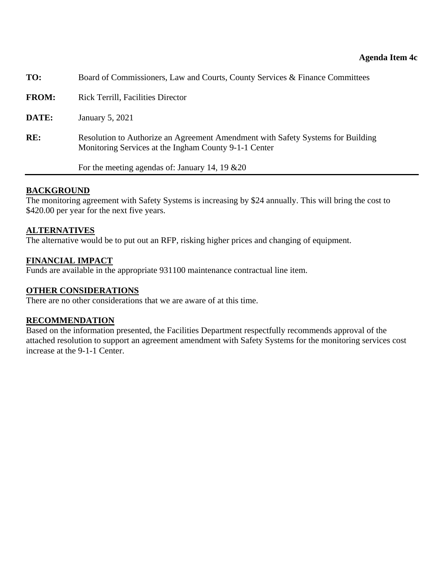<span id="page-43-0"></span>

| TO:          | Board of Commissioners, Law and Courts, County Services & Finance Committees                                                             |
|--------------|------------------------------------------------------------------------------------------------------------------------------------------|
| <b>FROM:</b> | <b>Rick Terrill, Facilities Director</b>                                                                                                 |
| DATE:        | January 5, 2021                                                                                                                          |
| RE:          | Resolution to Authorize an Agreement Amendment with Safety Systems for Building<br>Monitoring Services at the Ingham County 9-1-1 Center |
|              | For the meeting agendas of: January 14, 19 $&20$                                                                                         |

#### **BACKGROUND**

The monitoring agreement with Safety Systems is increasing by \$24 annually. This will bring the cost to \$420.00 per year for the next five years.

#### **ALTERNATIVES**

The alternative would be to put out an RFP, risking higher prices and changing of equipment.

#### **FINANCIAL IMPACT**

Funds are available in the appropriate 931100 maintenance contractual line item.

#### **OTHER CONSIDERATIONS**

There are no other considerations that we are aware of at this time.

#### **RECOMMENDATION**

Based on the information presented, the Facilities Department respectfully recommends approval of the attached resolution to support an agreement amendment with Safety Systems for the monitoring services cost increase at the 9-1-1 Center.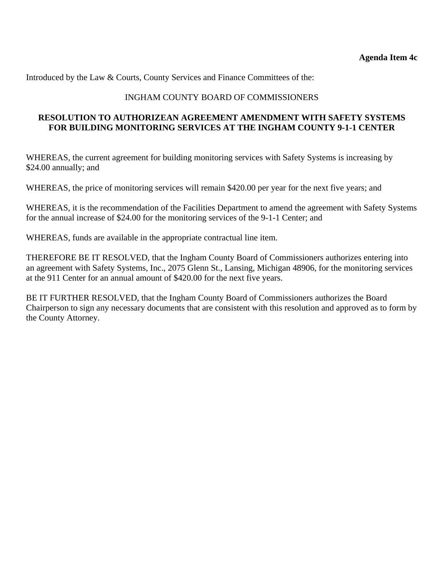Introduced by the Law & Courts, County Services and Finance Committees of the:

### INGHAM COUNTY BOARD OF COMMISSIONERS

### **RESOLUTION TO AUTHORIZEAN AGREEMENT AMENDMENT WITH SAFETY SYSTEMS FOR BUILDING MONITORING SERVICES AT THE INGHAM COUNTY 9-1-1 CENTER**

WHEREAS, the current agreement for building monitoring services with Safety Systems is increasing by \$24.00 annually; and

WHEREAS, the price of monitoring services will remain \$420.00 per year for the next five years; and

WHEREAS, it is the recommendation of the Facilities Department to amend the agreement with Safety Systems for the annual increase of \$24.00 for the monitoring services of the 9-1-1 Center; and

WHEREAS, funds are available in the appropriate contractual line item.

THEREFORE BE IT RESOLVED, that the Ingham County Board of Commissioners authorizes entering into an agreement with Safety Systems, Inc., 2075 Glenn St., Lansing, Michigan 48906, for the monitoring services at the 911 Center for an annual amount of \$420.00 for the next five years.

BE IT FURTHER RESOLVED, that the Ingham County Board of Commissioners authorizes the Board Chairperson to sign any necessary documents that are consistent with this resolution and approved as to form by the County Attorney.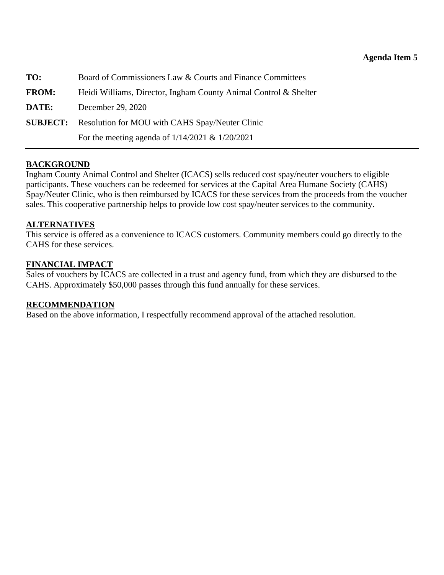<span id="page-45-0"></span>

| TO:             | Board of Commissioners Law & Courts and Finance Committees       |
|-----------------|------------------------------------------------------------------|
| <b>FROM:</b>    | Heidi Williams, Director, Ingham County Animal Control & Shelter |
| DATE:           | December 29, 2020                                                |
| <b>SUBJECT:</b> | Resolution for MOU with CAHS Spay/Neuter Clinic                  |
|                 | For the meeting agenda of $1/14/2021 \& 1/20/2021$               |

### **BACKGROUND**

Ingham County Animal Control and Shelter (ICACS) sells reduced cost spay/neuter vouchers to eligible participants. These vouchers can be redeemed for services at the Capital Area Humane Society (CAHS) Spay/Neuter Clinic, who is then reimbursed by ICACS for these services from the proceeds from the voucher sales. This cooperative partnership helps to provide low cost spay/neuter services to the community.

#### **ALTERNATIVES**

This service is offered as a convenience to ICACS customers. Community members could go directly to the CAHS for these services.

### **FINANCIAL IMPACT**

Sales of vouchers by ICACS are collected in a trust and agency fund, from which they are disbursed to the CAHS. Approximately \$50,000 passes through this fund annually for these services.

### **RECOMMENDATION**

Based on the above information, I respectfully recommend approval of the attached resolution.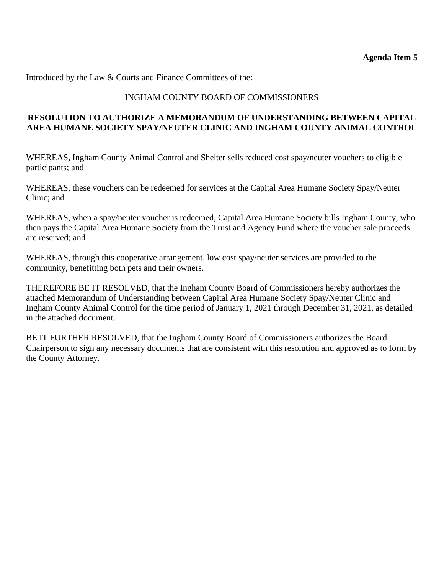Introduced by the Law & Courts and Finance Committees of the:

### INGHAM COUNTY BOARD OF COMMISSIONERS

### **RESOLUTION TO AUTHORIZE A MEMORANDUM OF UNDERSTANDING BETWEEN CAPITAL AREA HUMANE SOCIETY SPAY/NEUTER CLINIC AND INGHAM COUNTY ANIMAL CONTROL**

WHEREAS, Ingham County Animal Control and Shelter sells reduced cost spay/neuter vouchers to eligible participants; and

WHEREAS, these vouchers can be redeemed for services at the Capital Area Humane Society Spay/Neuter Clinic; and

WHEREAS, when a spay/neuter voucher is redeemed, Capital Area Humane Society bills Ingham County, who then pays the Capital Area Humane Society from the Trust and Agency Fund where the voucher sale proceeds are reserved; and

WHEREAS, through this cooperative arrangement, low cost spay/neuter services are provided to the community, benefitting both pets and their owners.

THEREFORE BE IT RESOLVED, that the Ingham County Board of Commissioners hereby authorizes the attached Memorandum of Understanding between Capital Area Humane Society Spay/Neuter Clinic and Ingham County Animal Control for the time period of January 1, 2021 through December 31, 2021, as detailed in the attached document.

BE IT FURTHER RESOLVED, that the Ingham County Board of Commissioners authorizes the Board Chairperson to sign any necessary documents that are consistent with this resolution and approved as to form by the County Attorney.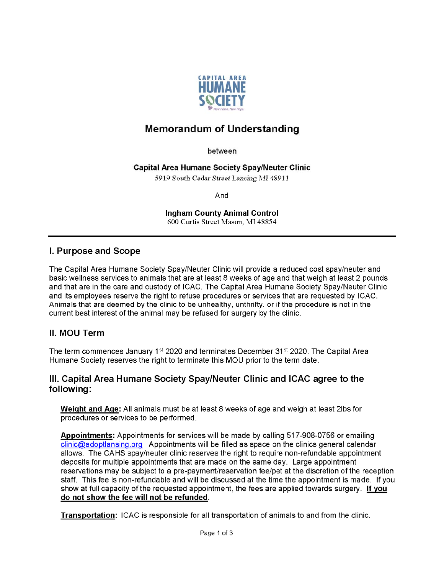

# **Memorandum of Understanding**

between

#### **Capital Area Humane Society Spay/Neuter Clinic**

5919 South Cedar Street Lansing MI 48911

And

**Ingham County Animal Control** 600 Curtis Street Mason, MI 48854

### I. Purpose and Scope

The Capital Area Humane Society Spay/Neuter Clinic will provide a reduced cost spay/neuter and basic wellness services to animals that are at least 8 weeks of age and that weigh at least 2 pounds and that are in the care and custody of ICAC. The Capital Area Humane Society Spay/Neuter Clinic and its employees reserve the right to refuse procedures or services that are requested by ICAC. Animals that are deemed by the clinic to be unhealthy, unthrifty, or if the procedure is not in the current best interest of the animal may be refused for surgery by the clinic.

### II. MOU Term

The term commences January 1<sup>st</sup> 2020 and terminates December 31<sup>st</sup> 2020. The Capital Area Humane Society reserves the right to terminate this MOU prior to the term date.

### III. Capital Area Humane Society Spay/Neuter Clinic and ICAC agree to the following:

Weight and Age: All animals must be at least 8 weeks of age and weigh at least 2lbs for procedures or services to be performed.

Appointments: Appointments for services will be made by calling 517-908-0756 or emailing clinic@adoptlansing.org Appointments will be filled as space on the clinics general calendar allows. The CAHS spay/neuter clinic reserves the right to require non-refundable appointment deposits for multiple appointments that are made on the same day. Large appointment reservations may be subject to a pre-payment/reservation fee/pet at the discretion of the reception staff. This fee is non-refundable and will be discussed at the time the appointment is made. If you show at full capacity of the requested appointment, the fees are applied towards surgery. If you do not show the fee will not be refunded.

Transportation: ICAC is responsible for all transportation of animals to and from the clinic.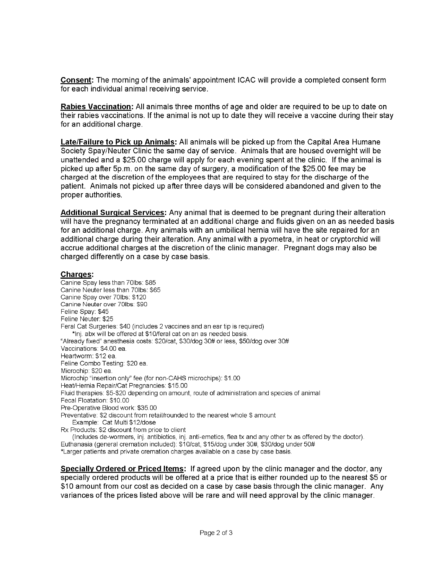Consent: The morning of the animals' appointment ICAC will provide a completed consent form for each individual animal receiving service.

Rabies Vaccination: All animals three months of age and older are required to be up to date on their rabies vaccinations. If the animal is not up to date they will receive a vaccine during their stay for an additional charge.

Late/Failure to Pick up Animals: All animals will be picked up from the Capital Area Humane Society Spay/Neuter Clinic the same day of service. Animals that are housed overnight will be unattended and a \$25.00 charge will apply for each evening spent at the clinic. If the animal is picked up after 5p.m. on the same day of surgery, a modification of the \$25.00 fee may be charged at the discretion of the employees that are required to stay for the discharge of the patient. Animals not picked up after three days will be considered abandoned and given to the proper authorities.

Additional Surgical Services: Any animal that is deemed to be pregnant during their alteration will have the pregnancy terminated at an additional charge and fluids given on an as needed basis for an additional charge. Any animals with an umbilical hernia will have the site repaired for an additional charge during their alteration. Any animal with a pyometra, in heat or cryptorchid will accrue additional charges at the discretion of the clinic manager. Pregnant dogs may also be charged differently on a case by case basis.

#### **Charges:**

Canine Spay less than 70lbs: \$85 Canine Neuter less than 70lbs: \$65 Canine Spay over 70lbs: \$120 Canine Neuter over 70lbs: \$90 Feline Spay: \$45 Feline Neuter: \$25 Feral Cat Surgeries: \$40 (includes 2 vaccines and an ear tip is required) \*Inj. abx will be offered at \$10/feral cat on an as needed basis. "Already fixed" anesthesia costs: \$20/cat, \$30/dog 30# or less, \$50/dog over 30# Vaccinations: \$4.00 ea. Heartworm: \$12 ea. Feline Combo Testing: \$20 ea. Microchip: \$20 ea. Microchip "insertion only" fee (for non-CAHS microchips): \$1.00 Heat/Hernia Repair/Cat Pregnancies: \$15.00 Fluid therapies: \$5-\$20 depending on amount, route of administration and species of animal Fecal Floatation: \$10.00 Pre-Operative Blood work: \$35.00 Preventative: \$2 discount from retail/rounded to the nearest whole \$ amount Example: Cat Multi \$12/dose Rx Products: \$2 discount from price to client

(Includes de-wormers, inj. antibiotics, inj. anti-emetics, flea tx and any other tx as offered by the doctor). Euthanasia (general cremation included): \$10/cat, \$15/dog under 30#, \$30/dog under 50# \*Larger patients and private cremation charges available on a case by case basis.

**Specially Ordered or Priced Items:** If agreed upon by the clinic manager and the doctor, any specially ordered products will be offered at a price that is either rounded up to the nearest \$5 or \$10 amount from our cost as decided on a case by case basis through the clinic manager. Any variances of the prices listed above will be rare and will need approval by the clinic manager.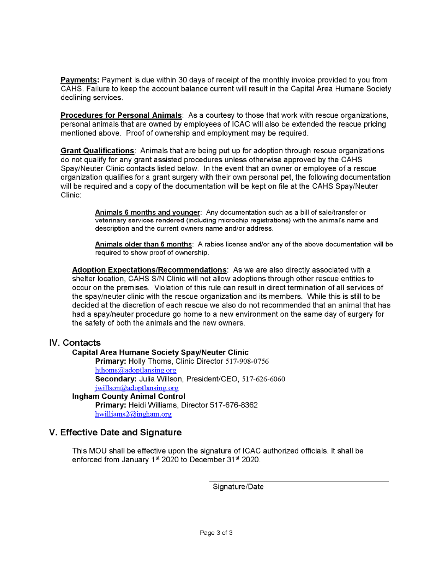Payments: Payment is due within 30 days of receipt of the monthly invoice provided to you from CAHS. Failure to keep the account balance current will result in the Capital Area Humane Society declining services.

**Procedures for Personal Animals:** As a courtesy to those that work with rescue organizations, personal animals that are owned by employees of ICAC will also be extended the rescue pricing mentioned above. Proof of ownership and employment may be required.

**Grant Qualifications:** Animals that are being put up for adoption through rescue organizations do not qualify for any grant assisted procedures unless otherwise approved by the CAHS Spay/Neuter Clinic contacts listed below. In the event that an owner or employee of a rescue organization qualifies for a grant surgery with their own personal pet, the following documentation will be required and a copy of the documentation will be kept on file at the CAHS Spay/Neuter Clinic:

> Animals 6 months and younger: Any documentation such as a bill of sale/transfer or veterinary services rendered (including microchip registrations) with the animal's name and description and the current owners name and/or address.

Animals older than 6 months: A rabies license and/or any of the above documentation will be required to show proof of ownership.

Adoption Expectations/Recommendations: As we are also directly associated with a shelter location, CAHS S/N Clinic will not allow adoptions through other rescue entities to occur on the premises. Violation of this rule can result in direct termination of all services of the spay/neuter clinic with the rescue organization and its members. While this is still to be decided at the discretion of each rescue we also do not recommended that an animal that has had a spay/neuter procedure go home to a new environment on the same day of surgery for the safety of both the animals and the new owners.

### IV. Contacts

#### **Capital Area Humane Society Spay/Neuter Clinic**

Primary: Holly Thoms, Clinic Director 517-908-0756 hthoms@adoptlansing.org Secondary: Julia Willson, President/CEO, 517-626-6060 jwillson@adoptlansing.org

### **Ingham County Animal Control**

Primary: Heidi Williams, Director 517-676-8362 hwilliams $2@$ ingham.org

#### V. Effective Date and Signature

This MOU shall be effective upon the signature of ICAC authorized officials. It shall be enforced from January 1<sup>st</sup> 2020 to December 31<sup>st</sup> 2020.

Signature/Date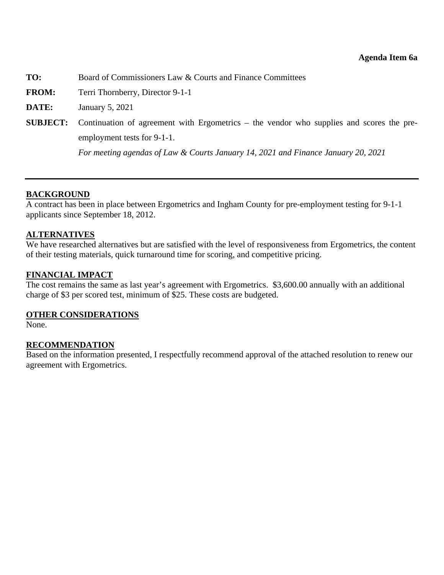<span id="page-50-0"></span>**TO:** Board of Commissioners Law & Courts and Finance Committees

**FROM:** Terri Thornberry, Director 9-1-1

**DATE:** January 5, 2021

**SUBJECT:** Continuation of agreement with Ergometrics – the vendor who supplies and scores the preemployment tests for 9-1-1.

*For meeting agendas of Law & Courts January 14, 2021 and Finance January 20, 2021* 

### **BACKGROUND**

A contract has been in place between Ergometrics and Ingham County for pre-employment testing for 9-1-1 applicants since September 18, 2012.

#### **ALTERNATIVES**

We have researched alternatives but are satisfied with the level of responsiveness from Ergometrics, the content of their testing materials, quick turnaround time for scoring, and competitive pricing.

#### **FINANCIAL IMPACT**

The cost remains the same as last year's agreement with Ergometrics. \$3,600.00 annually with an additional charge of \$3 per scored test, minimum of \$25. These costs are budgeted.

#### **OTHER CONSIDERATIONS**

None.

### **RECOMMENDATION**

Based on the information presented, I respectfully recommend approval of the attached resolution to renew our agreement with Ergometrics.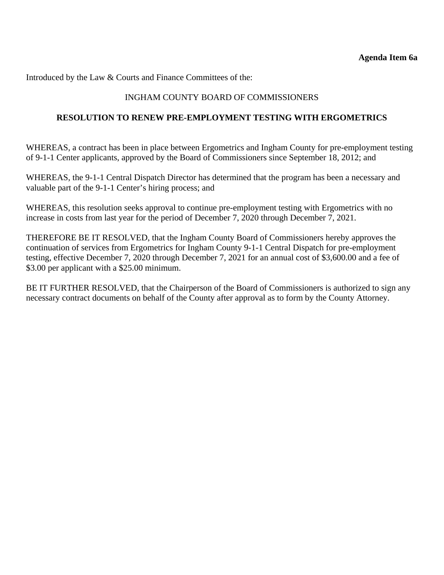Introduced by the Law & Courts and Finance Committees of the:

### INGHAM COUNTY BOARD OF COMMISSIONERS

#### **RESOLUTION TO RENEW PRE-EMPLOYMENT TESTING WITH ERGOMETRICS**

WHEREAS, a contract has been in place between Ergometrics and Ingham County for pre-employment testing of 9-1-1 Center applicants, approved by the Board of Commissioners since September 18, 2012; and

WHEREAS, the 9-1-1 Central Dispatch Director has determined that the program has been a necessary and valuable part of the 9-1-1 Center's hiring process; and

WHEREAS, this resolution seeks approval to continue pre-employment testing with Ergometrics with no increase in costs from last year for the period of December 7, 2020 through December 7, 2021.

THEREFORE BE IT RESOLVED, that the Ingham County Board of Commissioners hereby approves the continuation of services from Ergometrics for Ingham County 9-1-1 Central Dispatch for pre-employment testing, effective December 7, 2020 through December 7, 2021 for an annual cost of \$3,600.00 and a fee of \$3.00 per applicant with a \$25.00 minimum.

BE IT FURTHER RESOLVED, that the Chairperson of the Board of Commissioners is authorized to sign any necessary contract documents on behalf of the County after approval as to form by the County Attorney.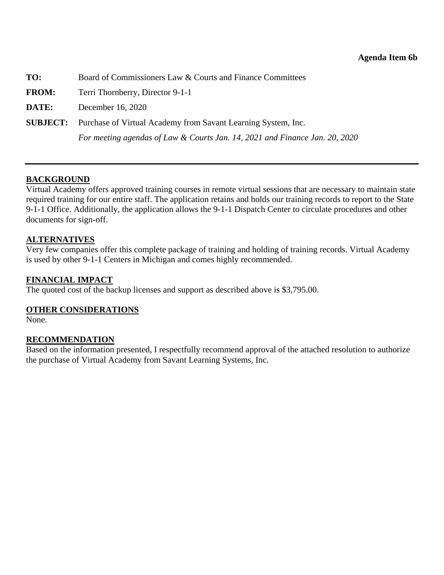<span id="page-52-0"></span>

| TO:          | Board of Commissioners Law & Courts and Finance Committees                    |
|--------------|-------------------------------------------------------------------------------|
| <b>FROM:</b> | Terri Thornberry, Director 9-1-1                                              |
| DATE:        | December 16, 2020                                                             |
|              | <b>SUBJECT:</b> Purchase of Virtual Academy from Savant Learning System, Inc. |
|              | For meeting agendas of Law & Courts Jan. 14, 2021 and Finance Jan. 20, 2020   |

### **BACKGROUND**

Virtual Academy offers approved training courses in remote virtual sessions that are necessary to maintain state required training for our entire staff. The application retains and holds our training records to report to the State 9-1-1 Office. Additionally, the application allows the 9-1-1 Dispatch Center to circulate procedures and other documents for sign-off.

#### **ALTERNATIVES**

Very few companies offer this complete package of training and holding of training records. Virtual Academy is used by other 9-1-1 Centers in Michigan and comes highly recommended.

#### **FINANCIAL IMPACT**

The quoted cost of the backup licenses and support as described above is \$3,795.00.

#### **OTHER CONSIDERATIONS**

None.

#### **RECOMMENDATION**

Based on the information presented, I respectfully recommend approval of the attached resolution to authorize the purchase of Virtual Academy from Savant Learning Systems, Inc.